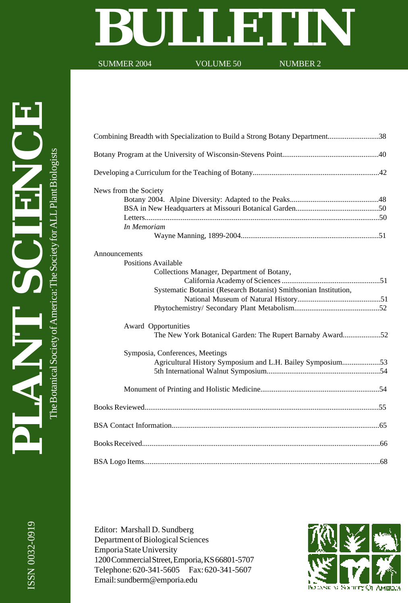# **BULLETIN**<br>SUMMER 2004 VOLUME 50

SUMMER 2004

| Combining Breadth with Specialization to Build a Strong Botany Department38 |
|-----------------------------------------------------------------------------|
|                                                                             |
|                                                                             |
| News from the Society                                                       |
|                                                                             |
|                                                                             |
|                                                                             |
| In Memoriam                                                                 |
| Announcements                                                               |
| <b>Positions Available</b>                                                  |
| Collections Manager, Department of Botany,                                  |
|                                                                             |
| Systematic Botanist (Research Botanist) Smithsonian Institution,            |
|                                                                             |
|                                                                             |
| Award Opportunities                                                         |
| The New York Botanical Garden: The Rupert Barnaby Award52                   |
| Symposia, Conferences, Meetings                                             |
| Agricultural History Symposium and L.H. Bailey Symposium53                  |
|                                                                             |
|                                                                             |
|                                                                             |
|                                                                             |
|                                                                             |
|                                                                             |

Editor: Marshall D. Sundberg Department of Biological Sciences Emporia State University 1200 Commercial Street, Emporia, KS 66801-5707 Telephone: 620-341-5605 Fax: 620-341-5607 Email: sundberm@emporia.edu

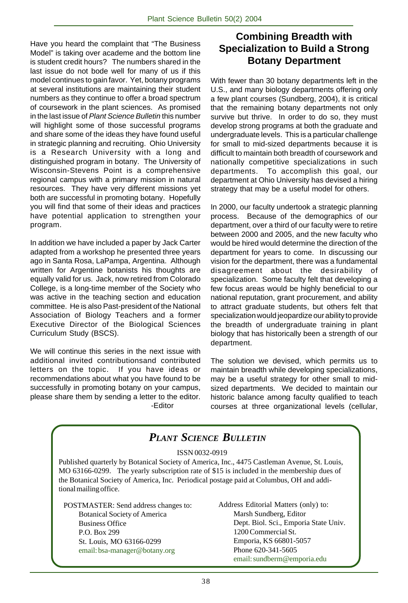Have you heard the complaint that "The Business Model" is taking over academe and the bottom line is student credit hours? The numbers shared in the last issue do not bode well for many of us if this model continues to gain favor. Yet, botany programs at several institutions are maintaining their student numbers as they continue to offer a broad spectrum of coursework in the plant sciences. As promised in the last issue of Plant Science Bulletin this number will highlight some of those successful programs and share some of the ideas they have found useful in strategic planning and recruiting. Ohio University is a Research University with a long and distinguished program in botany. The University of Wisconsin-Stevens Point is a comprehensive regional campus with a primary mission in natural resources. They have very different missions yet both are successful in promoting botany. Hopefully you will find that some of their ideas and practices have potential application to strengthen your program.

In addition we have included a paper by Jack Carter adapted from a workshop he presented three years ago in Santa Rosa, LaPampa, Argentina. Although written for Argentine botanists his thoughts are equally valid for us. Jack, now retired from Colorado College, is a long-time member of the Society who was active in the teaching section and education committee. He is also Past-president of the National Association of Biology Teachers and a former Executive Director of the Biological Sciences Curriculum Study (BSCS).

We will continue this series in the next issue with additional invited contributionsand contributed letters on the topic. If you have ideas or recommendations about what you have found to be successfully in promoting botany on your campus, please share them by sending a letter to the editor. -Editor

## **Combining Breadth with Specialization to Build a Strong Botany Department**

With fewer than 30 botany departments left in the U.S., and many biology departments offering only a few plant courses (Sundberg, 2004), it is critical that the remaining botany departments not only survive but thrive. In order to do so, they must develop strong programs at both the graduate and undergraduate levels. This is a particular challenge for small to mid-sized departments because it is difficult to maintain both breadth of coursework and nationally competitive specializations in such departments. To accomplish this goal, our department at Ohio University has devised a hiring strategy that may be a useful model for others.

In 2000, our faculty undertook a strategic planning process. Because of the demographics of our department, over a third of our faculty were to retire between 2000 and 2005, and the new faculty who would be hired would determine the direction of the department for years to come. In discussing our vision for the department, there was a fundamental disagreement about the desirability of specialization. Some faculty felt that developing a few focus areas would be highly beneficial to our national reputation, grant procurement, and ability to attract graduate students, but others felt that specialization would jeopardize our ability to provide the breadth of undergraduate training in plant biology that has historically been a strength of our department.

The solution we devised, which permits us to maintain breadth while developing specializations, may be a useful strategy for other small to midsized departments. We decided to maintain our historic balance among faculty qualified to teach courses at three organizational levels (cellular,

#### *PLANT SCIENCE BULLETIN* POSTMASTER: Send address changes to: Botanical Society of America Business Office P.O. Box 299 St. Louis, MO 63166-0299 email: bsa-manager@botany.org Address Editorial Matters (only) to: Marsh Sundberg, Editor Dept. Biol. Sci., Emporia State Univ. 1200 Commercial St. Emporia, KS 66801-5057 Phone 620-341-5605 email: sundberm@emporia.edu ISSN 0032-0919 Published quarterly by Botanical Society of America, Inc., 4475 Castleman Avenue, St. Louis, MO 63166-0299. The yearly subscription rate of \$15 is included in the membership dues of the Botanical Society of America, Inc. Periodical postage paid at Columbus, OH and additional mailing office.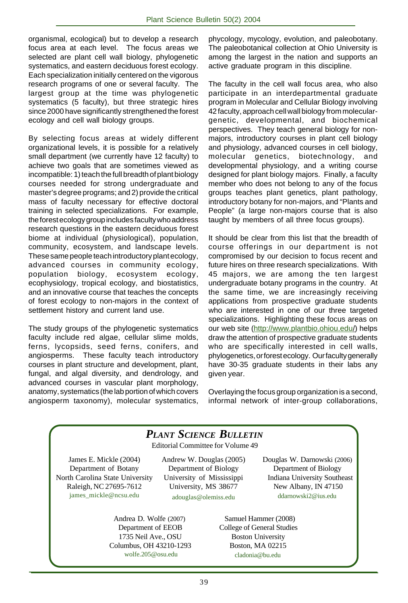organismal, ecological) but to develop a research focus area at each level. The focus areas we selected are plant cell wall biology, phylogenetic systematics, and eastern deciduous forest ecology. Each specialization initially centered on the vigorous research programs of one or several faculty. The largest group at the time was phylogenetic systematics (5 faculty), but three strategic hires since 2000 have significantly strengthened the forest ecology and cell wall biology groups.

By selecting focus areas at widely different organizational levels, it is possible for a relatively small department (we currently have 12 faculty) to achieve two goals that are sometimes viewed as incompatible: 1) teach the full breadth of plant biology courses needed for strong undergraduate and master's degree programs; and 2) provide the critical mass of faculty necessary for effective doctoral training in selected specializations. For example, the forest ecology group includes faculty who address research questions in the eastern deciduous forest biome at individual (physiological), population, community, ecosystem, and landscape levels. These same people teach introductory plant ecology, advanced courses in community ecology, population biology, ecosystem ecology, ecophysiology, tropical ecology, and biostatistics, and an innovative course that teaches the concepts of forest ecology to non-majors in the context of settlement history and current land use.

The study groups of the phylogenetic systematics faculty include red algae, cellular slime molds, ferns, lycopsids, seed ferns, conifers, and angiosperms. These faculty teach introductory courses in plant structure and development, plant, fungal, and algal diversity, and dendrology, and advanced courses in vascular plant morphology, anatomy, systematics (the lab portion of which covers angiosperm taxonomy), molecular systematics,

phycology, mycology, evolution, and paleobotany. The paleobotanical collection at Ohio University is among the largest in the nation and supports an active graduate program in this discipline.

The faculty in the cell wall focus area, who also participate in an interdepartmental graduate program in Molecular and Cellular Biology involving 42 faculty, approach cell wall biology from moleculargenetic, developmental, and biochemical perspectives. They teach general biology for nonmajors, introductory courses in plant cell biology and physiology, advanced courses in cell biology, molecular genetics, biotechnology, and developmental physiology, and a writing course designed for plant biology majors. Finally, a faculty member who does not belong to any of the focus groups teaches plant genetics, plant pathology, introductory botany for non-majors, and "Plants and People" (a large non-majors course that is also taught by members of all three focus groups).

It should be clear from this list that the breadth of course offerings in our department is not compromised by our decision to focus recent and future hires on three research specializations. With 45 majors, we are among the ten largest undergraduate botany programs in the country. At the same time, we are increasingly receiving applications from prospective graduate students who are interested in one of our three targeted specializations. Highlighting these focus areas on our web site (http://www.plantbio.ohiou.edu/) helps draw the attention of prospective graduate students who are specifically interested in cell walls, phylogenetics, or forest ecology. Our faculty generally have 30-35 graduate students in their labs any given year.

Overlaying the focus group organization is a second, informal network of inter-group collaborations,

# *PLANT SCIENCE BULLETIN*

Editorial Committee for Volume 49

James E. Mickle (2004) Department of Botany North Carolina State University Raleigh, NC 27695-7612 james\_mickle@ncsu.edu

Andrew W. Douglas (2005) Department of Biology University of Mississippi University, MS 38677 adouglas@olemiss.edu

Andrea D. Wolfe (2007) Department of EEOB 1735 Neil Ave., OSU Columbus, OH 43210-1293 wolfe.205@osu.edu

 Douglas W. Darnowski (2006) Department of Biology Indiana University Southeast New Albany, IN 47150 ddarnowski2@ius.edu

 Samuel Hammer (2008) College of General Studies Boston University Boston, MA 02215 cladonia@bu.edu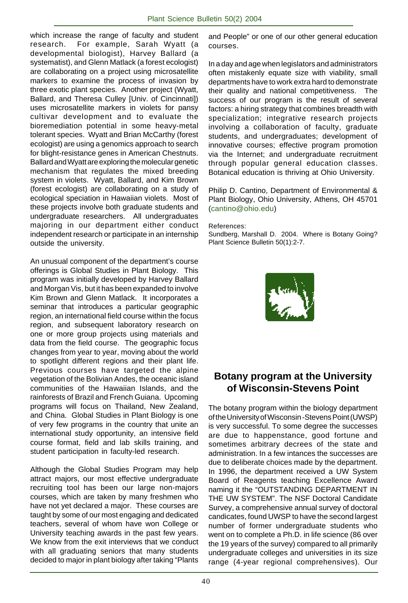which increase the range of faculty and student research. For example, Sarah Wyatt (a developmental biologist), Harvey Ballard (a systematist), and Glenn Matlack (a forest ecologist) are collaborating on a project using microsatellite markers to examine the process of invasion by three exotic plant species. Another project (Wyatt, Ballard, and Theresa Culley [Univ. of Cincinnati]) uses microsatellite markers in violets for pansy cultivar development and to evaluate the bioremediation potential in some heavy-metal tolerant species. Wyatt and Brian McCarthy (forest ecologist) are using a genomics approach to search for blight-resistance genes in American Chestnuts. Ballard and Wyatt are exploring the molecular genetic mechanism that regulates the mixed breeding system in violets. Wyatt, Ballard, and Kim Brown (forest ecologist) are collaborating on a study of ecological speciation in Hawaiian violets. Most of these projects involve both graduate students and undergraduate researchers. All undergraduates majoring in our department either conduct independent research or participate in an internship outside the university.

An unusual component of the department's course offerings is Global Studies in Plant Biology. This program was initially developed by Harvey Ballard and Morgan Vis, but it has been expanded to involve Kim Brown and Glenn Matlack. It incorporates a seminar that introduces a particular geographic region, an international field course within the focus region, and subsequent laboratory research on one or more group projects using materials and data from the field course. The geographic focus changes from year to year, moving about the world to spotlight different regions and their plant life. Previous courses have targeted the alpine vegetation of the Bolivian Andes, the oceanic island communities of the Hawaiian Islands, and the rainforests of Brazil and French Guiana. Upcoming programs will focus on Thailand, New Zealand, and China. Global Studies in Plant Biology is one of very few programs in the country that unite an international study opportunity, an intensive field course format, field and lab skills training, and student participation in faculty-led research.

Although the Global Studies Program may help attract majors, our most effective undergraduate recruiting tool has been our large non-majors courses, which are taken by many freshmen who have not yet declared a major. These courses are taught by some of our most engaging and dedicated teachers, several of whom have won College or University teaching awards in the past few years. We know from the exit interviews that we conduct with all graduating seniors that many students decided to major in plant biology after taking "Plants

and People" or one of our other general education courses.

In a day and age when legislators and administrators often mistakenly equate size with viability, small departments have to work extra hard to demonstrate their quality and national competitiveness. The success of our program is the result of several factors: a hiring strategy that combines breadth with specialization; integrative research projects involving a collaboration of faculty, graduate students, and undergraduates; development of innovative courses; effective program promotion via the Internet; and undergraduate recruitment through popular general education classes. Botanical education is thriving at Ohio University.

Philip D. Cantino, Department of Environmental & Plant Biology, Ohio University, Athens, OH 45701 (cantino@ohio.edu)

#### References:

Sundberg, Marshall D. 2004. Where is Botany Going? Plant Science Bulletin 50(1):2-7.



## **Botany program at the University of Wisconsin-Stevens Point**

The botany program within the biology department of the University of Wisconsin -Stevens Point (UWSP) is very successful. To some degree the successes are due to happenstance, good fortune and sometimes arbitrary decrees of the state and administration. In a few intances the successes are due to deliberate choices made by the department. In 1996, the department received a UW System Board of Reagents teaching Excellence Award naming it the "OUTSTANDING DEPARTMENT IN THE UW SYSTEM". The NSF Doctoral Candidate Survey, a comprehensive annual survey of doctoral candicates, found UWSP to have the second largest number of former undergraduate students who went on to complete a Ph.D. in life science (86 over the 19 years of the survey) compared to all primarily undergraduate colleges and universities in its size range (4-year regional comprehensives). Our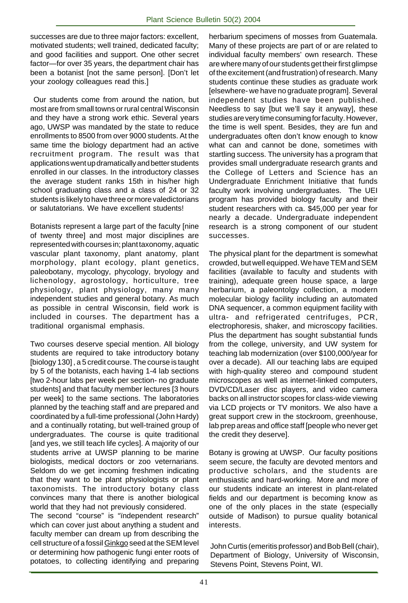successes are due to three major factors: excellent, motivated students; well trained, dedicated faculty; and good facilities and support. One other secret factor—for over 35 years, the department chair has been a botanist [not the same person]. [Don't let your zoology colleagues read this.]

 Our students come from around the nation, but most are from small towns or rural central Wisconsin and they have a strong work ethic. Several years ago, UWSP was mandated by the state to reduce enrollments to 8500 from over 9000 students. At the same time the biology department had an active recruitment program. The result was that applications went up dramatically and better students enrolled in our classes. In the introductory classes the average student ranks 15th in his/her high school graduating class and a class of 24 or 32 students is likely to have three or more valedictorians or salutatorians. We have excellent students!

Botanists represent a large part of the faculty [nine of twenty three] and most major disciplines are represented with courses in; plant taxonomy, aquatic vascular plant taxonomy, plant anatomy, plant morphology, plant ecology, plant genetics, paleobotany, mycology, phycology, bryology and lichenology, agrostology, horticulture, tree physiology, plant physiology, many many independent studies and general botany. As much as possible in central Wisconsin, field work is included in courses. The department has a traditional organismal emphasis.

Two courses deserve special mention. All biology students are required to take introductory botany [biology 130] , a 5 credit course. The course is taught by 5 of the botanists, each having 1-4 lab sections [two 2-hour labs per week per section- no graduate students] and that faculty member lectures [3 hours per week] to the same sections. The laboratories planned by the teaching staff and are prepared and coordinated by a full-time professional (John Hardy) and a continually rotating, but well-trained group of undergraduates. The course is quite traditional [and yes, we still teach life cycles]. A majority of our students arrive at UWSP planning to be marine biologists, medical doctors or zoo veternarians. Seldom do we get incoming freshmen indicating that they want to be plant physiologists or plant taxonomists. The introductory botany class convinces many that there is another biological world that they had not previously considered.

The second "course" is "ïndependent research" which can cover just about anything a student and faculty member can dream up from describing the cell structure of a fossil Ginkgo seed at the SEM level or determining how pathogenic fungi enter roots of potatoes, to collecting identifying and preparing

herbarium specimens of mosses from Guatemala. Many of these projects are part of or are related to individual faculty members' own research. These are where many of our students get their first glimpse of the excitement (and frustration) of research. Many students continue these studies as graduate work [elsewhere- we have no graduate program]. Several independent studies have been published. Needless to say [but we'll say it anyway], these studies are very time consuming for faculty. However, the time is well spent. Besides, they are fun and undergraduates often don't know enough to know what can and cannot be done, sometimes with startling success. The university has a program that provides small undergraduate research grants and the College of Letters and Science has an Undergraduate Enrichment Initiative that funds faculty work involving undergraduates. The UEI program has provided biology faculty and their student researchers with ca. \$45,000 per year for nearly a decade. Undergraduate independent research is a strong component of our student successes.

The physical plant for the department is somewhat crowded, but well equipped. We have TEM and SEM facilities (available to faculty and students with training), adequate green house space, a large herbarium, a paleontolgy collection, a modern molecular biology facility including an automated DNA sequencer, a common equipment facility with ultra- and refrigerated centrifuges, PCR, electrophoresis, shaker, and microscopy facilities. Plus the department has sought substantial funds from the college, university, and UW system for teaching lab modernization (over \$100,000/year for over a decade). All our teaching labs are equiped with high-quality stereo and compound student microscopes as well as internet-linked computers, DVD/CD/Laser disc players, and video camera backs on all instructor scopes for class-wide viewing via LCD projects or TV monitors. We also have a great support crew in the stockroom, greenhouse, lab prep areas and office staff [people who never get the credit they deserve].

Botany is growing at UWSP. Our faculty positions seem secure, the faculty are devoted mentors and productive scholars, and the students are enthusiastic and hard-working. More and more of our students indicate an interest in plant-related fields and our department is becoming know as one of the only places in the state (especially outside of Madison) to pursue quality botanical interests.

John Curtis (emeritis professor) and Bob Bell (chair), Department of Biology, University of Wisconsin, Stevens Point, Stevens Point, WI.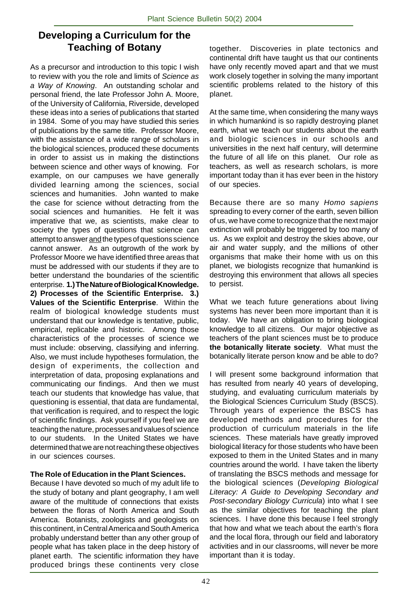## **Developing a Curriculum for the Teaching of Botany**

As a precursor and introduction to this topic I wish to review with you the role and limits of Science as a Way of Knowing. An outstanding scholar and personal friend, the late Professor John A. Moore, of the University of California, Riverside, developed these ideas into a series of publications that started in 1984. Some of you may have studied this series of publications by the same title. Professor Moore, with the assistance of a wide range of scholars in the biological sciences, produced these documents in order to assist us in making the distinctions between science and other ways of knowing. For example, on our campuses we have generally divided learning among the sciences, social sciences and humanities. John wanted to make the case for science without detracting from the social sciences and humanities. He felt it was imperative that we, as scientists, make clear to society the types of questions that science can attempt to answer and the types of questions science cannot answer. As an outgrowth of the work by Professor Moore we have identified three areas that must be addressed with our students if they are to better understand the boundaries of the scientific enterprise. **1.) The Nature of Biological Knowledge. 2) Processes of the Scientific Enterprise. 3.) Values of the Scientific Enterprise**. Within the realm of biological knowledge students must understand that our knowledge is tentative, public, empirical, replicable and historic. Among those characteristics of the processes of science we must include: observing, classifying and inferring. Also, we must include hypotheses formulation, the design of experiments, the collection and interpretation of data, proposing explanations and communicating our findings. And then we must teach our students that knowledge has value, that questioning is essential, that data are fundamental, that verification is required, and to respect the logic of scientific findings. Ask yourself if you feel we are teaching the nature, processes and values of science to our students. In the United States we have determined that we are not reaching these objectives in our sciences courses.

## **The Role of Education in the Plant Sciences.**

Because I have devoted so much of my adult life to the study of botany and plant geography, I am well aware of the multitude of connections that exists between the floras of North America and South America. Botanists, zoologists and geologists on this continent, in Central America and South America probably understand better than any other group of people what has taken place in the deep history of planet earth. The scientific information they have produced brings these continents very close together. Discoveries in plate tectonics and continental drift have taught us that our continents have only recently moved apart and that we must work closely together in solving the many important scientific problems related to the history of this planet.

At the same time, when considering the many ways in which humankind is so rapidly destroying planet earth, what we teach our students about the earth and biologic sciences in our schools and universities in the next half century, will determine the future of all life on this planet. Our role as teachers, as well as research scholars, is more important today than it has ever been in the history of our species.

Because there are so many Homo sapiens spreading to every corner of the earth, seven billion of us, we have come to recognize that the next major extinction will probably be triggered by too many of us. As we exploit and destroy the skies above, our air and water supply, and the millions of other organisms that make their home with us on this planet, we biologists recognize that humankind is destroying this environment that allows all species to persist.

What we teach future generations about living systems has never been more important than it is today. We have an obligation to bring biological knowledge to all citizens. Our major objective as teachers of the plant sciences must be to produce **the botanically literate society**. What must the botanically literate person know and be able to do?

I will present some background information that has resulted from nearly 40 years of developing, studying, and evaluating curriculum materials by the Biological Sciences Curriculum Study (BSCS). Through years of experience the BSCS has developed methods and procedures for the production of curriculum materials in the life sciences. These materials have greatly improved biological literacy for those students who have been exposed to them in the United States and in many countries around the world. I have taken the liberty of translating the BSCS methods and message for the biological sciences (Developing Biological Literacy: A Guide to Developing Secondary and Post-secondary Biology Curricula) into what I see as the similar objectives for teaching the plant sciences. I have done this because I feel strongly that how and what we teach about the earth's flora and the local flora, through our field and laboratory activities and in our classrooms, will never be more important than it is today.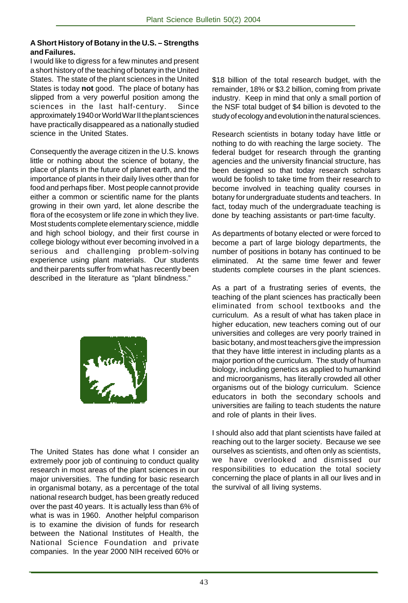#### **A Short History of Botany in the U.S. – Strengths and Failures.**

I would like to digress for a few minutes and present a short history of the teaching of botany in the United States. The state of the plant sciences in the United States is today **not** good. The place of botany has slipped from a very powerful position among the sciences in the last half-century. Since approximately 1940 or World War II the plant sciences have practically disappeared as a nationally studied science in the United States.

Consequently the average citizen in the U.S. knows little or nothing about the science of botany, the place of plants in the future of planet earth, and the importance of plants in their daily lives other than for food and perhaps fiber. Most people cannot provide either a common or scientific name for the plants growing in their own yard, let alone describe the flora of the ecosystem or life zone in which they live. Most students complete elementary science, middle and high school biology, and their first course in college biology without ever becoming involved in a serious and challenging problem-solving experience using plant materials. Our students and their parents suffer from what has recently been described in the literature as "plant blindness."



The United States has done what I consider an extremely poor job of continuing to conduct quality research in most areas of the plant sciences in our major universities. The funding for basic research in organismal botany, as a percentage of the total national research budget, has been greatly reduced over the past 40 years. It is actually less than 6% of what is was in 1960. Another helpful comparison is to examine the division of funds for research between the National Institutes of Health, the National Science Foundation and private companies. In the year 2000 NIH received 60% or

\$18 billion of the total research budget, with the remainder, 18% or \$3.2 billion, coming from private industry. Keep in mind that only a small portion of the NSF total budget of \$4 billion is devoted to the study of ecology and evolution in the natural sciences.

Research scientists in botany today have little or nothing to do with reaching the large society. The federal budget for research through the granting agencies and the university financial structure, has been designed so that today research scholars would be foolish to take time from their research to become involved in teaching quality courses in botany for undergraduate students and teachers. In fact, today much of the undergraduate teaching is done by teaching assistants or part-time faculty.

As departments of botany elected or were forced to become a part of large biology departments, the number of positions in botany has continued to be eliminated. At the same time fewer and fewer students complete courses in the plant sciences.

As a part of a frustrating series of events, the teaching of the plant sciences has practically been eliminated from school textbooks and the curriculum. As a result of what has taken place in higher education, new teachers coming out of our universities and colleges are very poorly trained in basic botany, and most teachers give the impression that they have little interest in including plants as a major portion of the curriculum. The study of human biology, including genetics as applied to humankind and microorganisms, has literally crowded all other organisms out of the biology curriculum. Science educators in both the secondary schools and universities are failing to teach students the nature and role of plants in their lives.

I should also add that plant scientists have failed at reaching out to the larger society. Because we see ourselves as scientists, and often only as scientists, we have overlooked and dismissed our responsibilities to education the total society concerning the place of plants in all our lives and in the survival of all living systems.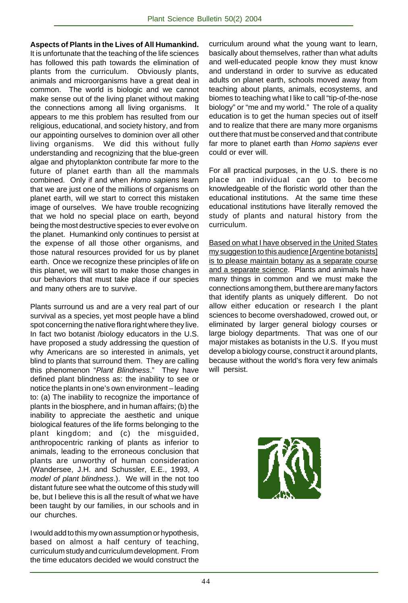**Aspects of Plants in the Lives of All Humankind.** It is unfortunate that the teaching of the life sciences has followed this path towards the elimination of plants from the curriculum. Obviously plants, animals and microorganisms have a great deal in common. The world is biologic and we cannot make sense out of the living planet without making the connections among all living organisms. It appears to me this problem has resulted from our religious, educational, and society history, and from our appointing ourselves to dominion over all other living organisms. We did this without fully understanding and recognizing that the blue-green algae and phytoplankton contribute far more to the future of planet earth than all the mammals combined. Only if and when Homo sapiens learn that we are just one of the millions of organisms on planet earth, will we start to correct this mistaken image of ourselves. We have trouble recognizing that we hold no special place on earth, beyond being the most destructive species to ever evolve on the planet. Humankind only continues to persist at the expense of all those other organisms, and those natural resources provided for us by planet earth. Once we recognize these principles of life on this planet, we will start to make those changes in our behaviors that must take place if our species and many others are to survive.

Plants surround us and are a very real part of our survival as a species, yet most people have a blind spot concerning the native flora right where they live. In fact two botanist /biology educators in the U.S. have proposed a study addressing the question of why Americans are so interested in animals, yet blind to plants that surround them. They are calling this phenomenon "Plant Blindness." They have defined plant blindness as: the inability to see or notice the plants in one's own environment – leading to: (a) The inability to recognize the importance of plants in the biosphere, and in human affairs; (b) the inability to appreciate the aesthetic and unique biological features of the life forms belonging to the plant kingdom; and (c) the misguided, anthropocentric ranking of plants as inferior to animals, leading to the erroneous conclusion that plants are unworthy of human consideration (Wandersee, J.H. and Schussler, E.E., 1993, A model of plant blindness.). We will in the not too distant future see what the outcome of this study will be, but I believe this is all the result of what we have been taught by our families, in our schools and in our churches.

I would add to this my own assumption or hypothesis, based on almost a half century of teaching, curriculum study and curriculum development. From the time educators decided we would construct the curriculum around what the young want to learn, basically about themselves, rather than what adults and well-educated people know they must know and understand in order to survive as educated adults on planet earth, schools moved away from teaching about plants, animals, ecosystems, and biomes to teaching what I like to call "tip-of-the-nose biology" or "me and my world." The role of a quality education is to get the human species out of itself and to realize that there are many more organisms out there that must be conserved and that contribute far more to planet earth than Homo sapiens ever could or ever will.

For all practical purposes, in the U.S. there is no place an individual can go to become knowledgeable of the floristic world other than the educational institutions. At the same time these educational institutions have literally removed the study of plants and natural history from the curriculum.

Based on what I have observed in the United States my suggestion to this audience [Argentine botanists] is to please maintain botany as a separate course and a separate science. Plants and animals have many things in common and we must make the connections among them, but there are many factors that identify plants as uniquely different. Do not allow either education or research I the plant sciences to become overshadowed, crowed out, or eliminated by larger general biology courses or large biology departments. That was one of our major mistakes as botanists in the U.S. If you must develop a biology course, construct it around plants, because without the world's flora very few animals will persist.

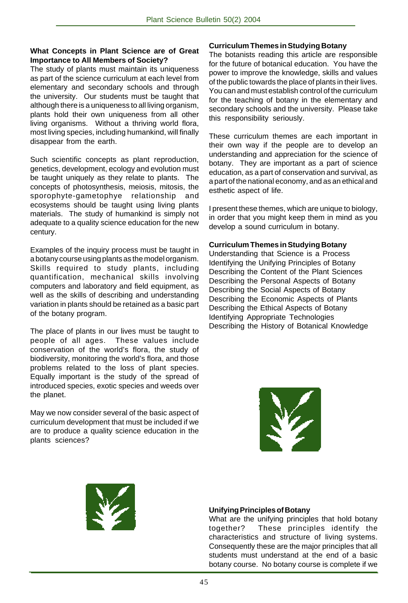### **What Concepts in Plant Science are of Great Importance to All Members of Society?**

The study of plants must maintain its uniqueness as part of the science curriculum at each level from elementary and secondary schools and through the university. Our students must be taught that although there is a uniqueness to all living organism, plants hold their own uniqueness from all other living organisms. Without a thriving world flora, most living species, including humankind, will finally disappear from the earth.

Such scientific concepts as plant reproduction, genetics, development, ecology and evolution must be taught uniquely as they relate to plants. The concepts of photosynthesis, meiosis, mitosis, the sporophyte-gametophye relationship and ecosystems should be taught using living plants materials. The study of humankind is simply not adequate to a quality science education for the new century.

Examples of the inquiry process must be taught in a botany course using plants as the model organism. Skills required to study plants, including quantification, mechanical skills involving computers and laboratory and field equipment, as well as the skills of describing and understanding variation in plants should be retained as a basic part of the botany program.

The place of plants in our lives must be taught to people of all ages. These values include conservation of the world's flora, the study of biodiversity, monitoring the world's flora, and those problems related to the loss of plant species. Equally important is the study of the spread of introduced species, exotic species and weeds over the planet.

May we now consider several of the basic aspect of curriculum development that must be included if we are to produce a quality science education in the plants sciences?

#### **Curriculum Themes in Studying Botany**

The botanists reading this article are responsible for the future of botanical education. You have the power to improve the knowledge, skills and values of the public towards the place of plants in their lives. You can and must establish control of the curriculum for the teaching of botany in the elementary and secondary schools and the university. Please take this responsibility seriously.

These curriculum themes are each important in their own way if the people are to develop an understanding and appreciation for the science of botany. They are important as a part of science education, as a part of conservation and survival, as a part of the national economy, and as an ethical and esthetic aspect of life.

I present these themes, which are unique to biology, in order that you might keep them in mind as you develop a sound curriculum in botany.

#### **Curriculum Themes in Studying Botany**

Understanding that Science is a Process Identifying the Unifying Principles of Botany Describing the Content of the Plant Sciences Describing the Personal Aspects of Botany Describing the Social Aspects of Botany Describing the Economic Aspects of Plants Describing the Ethical Aspects of Botany Identifying Appropriate Technologies Describing the History of Botanical Knowledge





#### **Unifying Principles of Botany**

What are the unifying principles that hold botany together? These principles identify the characteristics and structure of living systems. Consequently these are the major principles that all students must understand at the end of a basic botany course. No botany course is complete if we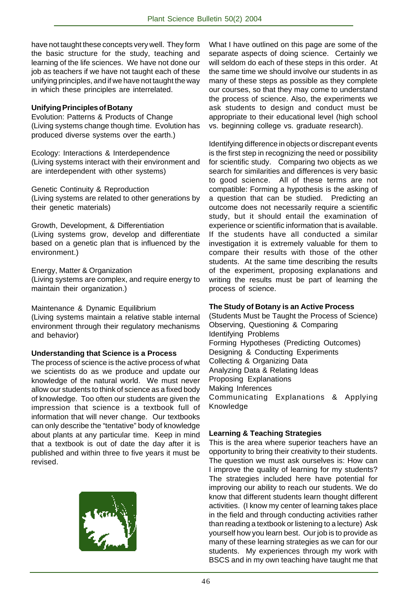have not taught these concepts very well. They form the basic structure for the study, teaching and learning of the life sciences. We have not done our job as teachers if we have not taught each of these unifying principles, and if we have not taught the way in which these principles are interrelated.

#### **Unifying Principles of Botany**

Evolution: Patterns & Products of Change (Living systems change though time. Evolution has produced diverse systems over the earth.)

Ecology: Interactions & Interdependence (Living systems interact with their environment and are interdependent with other systems)

Genetic Continuity & Reproduction (Living systems are related to other generations by their genetic materials)

Growth, Development, & Differentiation (Living systems grow, develop and differentiate based on a genetic plan that is influenced by the environment.)

Energy, Matter & Organization (Living systems are complex, and require energy to maintain their organization.)

Maintenance & Dynamic Equilibrium (Living systems maintain a relative stable internal environment through their regulatory mechanisms and behavior)

### **Understanding that Science is a Process**

The process of science is the active process of what we scientists do as we produce and update our knowledge of the natural world. We must never allow our students to think of science as a fixed body of knowledge. Too often our students are given the impression that science is a textbook full of information that will never change. Our textbooks can only describe the "tentative" body of knowledge about plants at any particular time. Keep in mind that a textbook is out of date the day after it is published and within three to five years it must be revised.



What I have outlined on this page are some of the separate aspects of doing science. Certainly we will seldom do each of these steps in this order. At the same time we should involve our students in as many of these steps as possible as they complete our courses, so that they may come to understand the process of science. Also, the experiments we ask students to design and conduct must be appropriate to their educational level (high school vs. beginning college vs. graduate research).

Identifying difference in objects or discrepant events is the first step in recognizing the need or possibility for scientific study. Comparing two objects as we search for similarities and differences is very basic to good science. All of these terms are not compatible: Forming a hypothesis is the asking of a question that can be studied. Predicting an outcome does not necessarily require a scientific study, but it should entail the examination of experience or scientific information that is available. If the students have all conducted a similar investigation it is extremely valuable for them to compare their results with those of the other students. At the same time describing the results of the experiment, proposing explanations and writing the results must be part of learning the process of science.

### **The Study of Botany is an Active Process**

(Students Must be Taught the Process of Science) Observing, Questioning & Comparing Identifying Problems Forming Hypotheses (Predicting Outcomes) Designing & Conducting Experiments Collecting & Organizing Data Analyzing Data & Relating Ideas Proposing Explanations Making Inferences Communicating Explanations & Applying Knowledge

### **Learning & Teaching Strategies**

This is the area where superior teachers have an opportunity to bring their creativity to their students. The question we must ask ourselves is: How can I improve the quality of learning for my students? The strategies included here have potential for improving our ability to reach our students. We do know that different students learn thought different activities. (I know my center of learning takes place in the field and through conducting activities rather than reading a textbook or listening to a lecture) Ask yourself how you learn best. Our job is to provide as many of these learning strategies as we can for our students. My experiences through my work with BSCS and in my own teaching have taught me that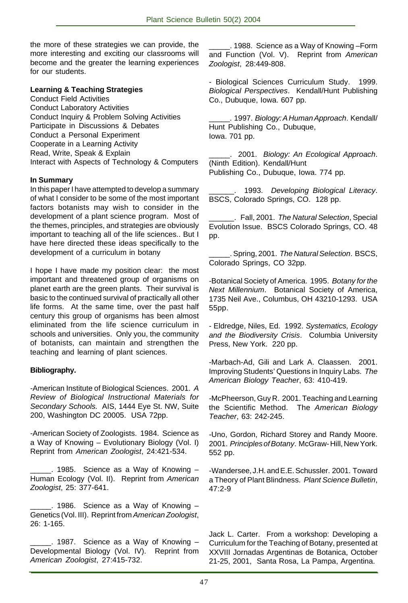the more of these strategies we can provide, the more interesting and exciting our classrooms will become and the greater the learning experiences for our students.

#### **Learning & Teaching Strategies**

Conduct Field Activities Conduct Laboratory Activities Conduct Inquiry & Problem Solving Activities Participate in Discussions & Debates Conduct a Personal Experiment Cooperate in a Learning Activity Read, Write, Speak & Explain Interact with Aspects of Technology & Computers

#### **In Summary**

In this paper I have attempted to develop a summary of what I consider to be some of the most important factors botanists may wish to consider in the development of a plant science program. Most of the themes, principles, and strategies are obviously important to teaching all of the life sciences.. But I have here directed these ideas specifically to the development of a curriculum in botany

I hope I have made my position clear: the most important and threatened group of organisms on planet earth are the green plants. Their survival is basic to the continued survival of practically all other life forms. At the same time, over the past half century this group of organisms has been almost eliminated from the life science curriculum in schools and universities. Only you, the community of botanists, can maintain and strengthen the teaching and learning of plant sciences.

### **Bibliography.**

-American Institute of Biological Sciences. 2001. A Review of Biological Instructional Materials for Secondary Schools. AIS, 1444 Eye St. NW, Suite 200, Washington DC 20005. USA 72pp.

-American Society of Zoologists. 1984. Science as a Way of Knowing – Evolutionary Biology (Vol. I) Reprint from American Zoologist, 24:421-534.

\_\_\_\_\_. 1985. Science as a Way of Knowing – Human Ecology (Vol. II). Reprint from American Zoologist, 25: 377-641.

\_\_\_\_\_. 1986. Science as a Way of Knowing – Genetics (Vol. III). Reprint from American Zoologist, 26: 1-165.

\_\_\_\_\_. 1987. Science as a Way of Knowing – Developmental Biology (Vol. IV). Reprint from American Zoologist, 27:415-732.

\_\_\_\_\_. 1988. Science as a Way of Knowing –Form and Function (Vol. V). Reprint from American Zoologist, 28:449-808.

- Biological Sciences Curriculum Study. 1999. Biological Perspectives. Kendall/Hunt Publishing Co., Dubuque, Iowa. 607 pp.

\_\_\_\_\_. 1997. Biology: A Human Approach. Kendall/ Hunt Publishing Co., Dubuque, Iowa. 701 pp.

2001. Biology: An Ecological Approach. (Ninth Edition). Kendall/Hunt Publishing Co., Dubuque, Iowa. 774 pp.

1993. Developing Biological Literacy. BSCS, Colorado Springs, CO. 128 pp.

. Fall, 2001. The Natural Selection, Special Evolution Issue. BSCS Colorado Springs, CO. 48 pp.

. Spring, 2001. The Natural Selection. BSCS, Colorado Springs, CO 32pp.

-Botanical Society of America. 1995. Botany for the Next Millennium. Botanical Society of America, 1735 Neil Ave., Columbus, OH 43210-1293. USA 55pp.

- Eldredge, Niles, Ed. 1992. Systematics, Ecology and the Biodiversity Crisis. Columbia University Press, New York. 220 pp.

-Marbach-Ad, Gili and Lark A. Claassen. 2001. Improving Students' Questions in Inquiry Labs. The American Biology Teacher, 63: 410-419.

-McPheerson, Guy R. 2001. Teaching and Learning the Scientific Method. The American Biology Teacher, 63: 242-245.

-Uno, Gordon, Richard Storey and Randy Moore. 2001. Principles of Botany. McGraw-Hill, New York. 552 pp.

-Wandersee, J.H. and E.E. Schussler. 2001. Toward a Theory of Plant Blindness. Plant Science Bulletin, 47:2-9

Jack L. Carter. From a workshop: Developing a Curriculum for the Teaching of Botany, presented at XXVIII Jornadas Argentinas de Botanica, October 21-25, 2001, Santa Rosa, La Pampa, Argentina.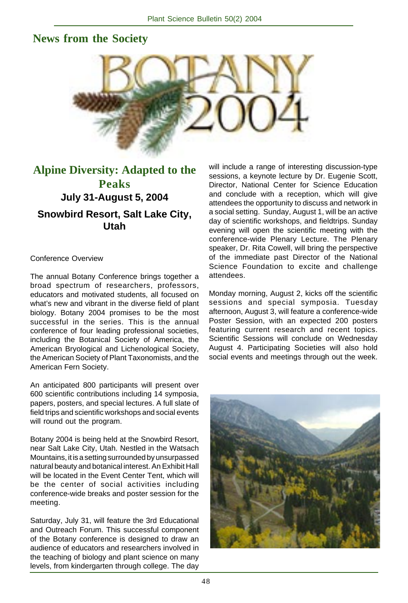# **News from the Society**



# **Alpine Diversity: Adapted to the Peaks July 31-August 5, 2004 Snowbird Resort, Salt Lake City, Utah**

#### Conference Overview

The annual Botany Conference brings together a broad spectrum of researchers, professors, educators and motivated students, all focused on what's new and vibrant in the diverse field of plant biology. Botany 2004 promises to be the most successful in the series. This is the annual conference of four leading professional societies, including the Botanical Society of America, the American Bryological and Lichenological Society, the American Society of Plant Taxonomists, and the American Fern Society.

An anticipated 800 participants will present over 600 scientific contributions including 14 symposia, papers, posters, and special lectures. A full slate of field trips and scientific workshops and social events will round out the program.

Botany 2004 is being held at the Snowbird Resort, near Salt Lake City, Utah. Nestled in the Watsach Mountains, it is a setting surrounded by unsurpassed natural beauty and botanical interest. An Exhibit Hall will be located in the Event Center Tent, which will be the center of social activities including conference-wide breaks and poster session for the meeting.

Saturday, July 31, will feature the 3rd Educational and Outreach Forum. This successful component of the Botany conference is designed to draw an audience of educators and researchers involved in the teaching of biology and plant science on many levels, from kindergarten through college. The day

will include a range of interesting discussion-type sessions, a keynote lecture by Dr. Eugenie Scott, Director, National Center for Science Education and conclude with a reception, which will give attendees the opportunity to discuss and network in a social setting. Sunday, August 1, will be an active day of scientific workshops, and fieldtrips. Sunday evening will open the scientific meeting with the conference-wide Plenary Lecture. The Plenary speaker, Dr. Rita Cowell, will bring the perspective of the immediate past Director of the National Science Foundation to excite and challenge attendees.

Monday morning, August 2, kicks off the scientific sessions and special symposia. Tuesday afternoon, August 3, will feature a conference-wide Poster Session, with an expected 200 posters featuring current research and recent topics. Scientific Sessions will conclude on Wednesday August 4. Participating Societies will also hold social events and meetings through out the week.

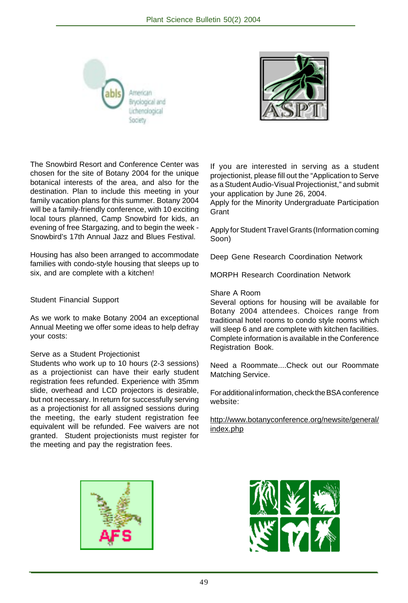



The Snowbird Resort and Conference Center was chosen for the site of Botany 2004 for the unique botanical interests of the area, and also for the destination. Plan to include this meeting in your family vacation plans for this summer. Botany 2004 will be a family-friendly conference, with 10 exciting local tours planned, Camp Snowbird for kids, an evening of free Stargazing, and to begin the week - Snowbird's 17th Annual Jazz and Blues Festival.

Housing has also been arranged to accommodate families with condo-style housing that sleeps up to six, and are complete with a kitchen!

#### Student Financial Support

As we work to make Botany 2004 an exceptional Annual Meeting we offer some ideas to help defray your costs:

#### Serve as a Student Projectionist

Students who work up to 10 hours (2-3 sessions) as a projectionist can have their early student registration fees refunded. Experience with 35mm slide, overhead and LCD projectors is desirable, but not necessary. In return for successfully serving as a projectionist for all assigned sessions during the meeting, the early student registration fee equivalent will be refunded. Fee waivers are not granted. Student projectionists must register for the meeting and pay the registration fees.

If you are interested in serving as a student projectionist, please fill out the "Application to Serve as a Student Audio-Visual Projectionist," and submit your application by June 26, 2004.

Apply for the Minority Undergraduate Participation **Grant** 

Apply for Student Travel Grants (Information coming Soon)

Deep Gene Research Coordination Network

MORPH Research Coordination Network

#### Share A Room

Several options for housing will be available for Botany 2004 attendees. Choices range from traditional hotel rooms to condo style rooms which will sleep 6 and are complete with kitchen facilities. Complete information is available in the Conference Registration Book.

Need a Roommate....Check out our Roommate Matching Service.

For additional information, check the BSA conference website:

http://www.botanyconference.org/newsite/general/ index.php



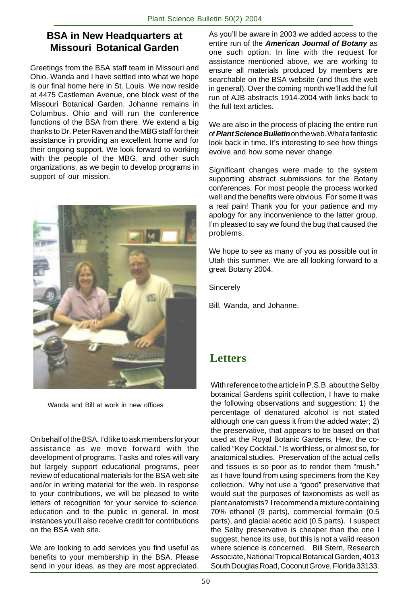## **BSA in New Headquarters at Missouri Botanical Garden**

Greetings from the BSA staff team in Missouri and Ohio. Wanda and I have settled into what we hope is our final home here in St. Louis. We now reside at 4475 Castleman Avenue, one block west of the Missouri Botanical Garden. Johanne remains in Columbus, Ohio and will run the conference functions of the BSA from there. We extend a big thanks to Dr. Peter Raven and the MBG staff for their assistance in providing an excellent home and for their ongoing support. We look forward to working with the people of the MBG, and other such organizations, as we begin to develop programs in support of our mission.



Wanda and Bill at work in new offices

On behalf of the BSA, I'd like to ask members for your assistance as we move forward with the development of programs. Tasks and roles will vary but largely support educational programs, peer review of educational materials for the BSA web site and/or in writing material for the web. In response to your contributions, we will be pleased to write letters of recognition for your service to science, education and to the public in general. In most instances you'll also receive credit for contributions on the BSA web site.

We are looking to add services you find useful as benefits to your membership in the BSA. Please send in your ideas, as they are most appreciated. As you'll be aware in 2003 we added access to the entire run of the **American Journal of Botany** as one such option. In line with the request for assistance mentioned above, we are working to ensure all materials produced by members are searchable on the BSA website (and thus the web in general). Over the coming month we'll add the full run of AJB abstracts 1914-2004 with links back to the full text articles.

We are also in the process of placing the entire run of **Plant Science Bulletin** on the web. What a fantastic look back in time. It's interesting to see how things evolve and how some never change.

Significant changes were made to the system supporting abstract submissions for the Botany conferences. For most people the process worked well and the benefits were obvious. For some it was a real pain! Thank you for your patience and my apology for any inconvenience to the latter group. I'm pleased to say we found the bug that caused the problems.

We hope to see as many of you as possible out in Utah this summer. We are all looking forward to a great Botany 2004.

**Sincerely** 

Bill, Wanda, and Johanne.

# **Letters**

With reference to the article in P.S.B. about the Selby botanical Gardens spirit collection, I have to make the following observations and suggestion: 1) the percentage of denatured alcohol is not stated although one can guess it from the added water; 2) the preservative, that appears to be based on that used at the Royal Botanic Gardens, Hew, the cocalled "Key Cocktail." Is worthless, or almost so, for anatomical studies. Preservation of the actual cells and tissues is so poor as to render them "mush," as I have found from using specimens from the Key collection. Why not use a "good" preservative that would suit the purposes of taxonomists as well as plant anatomists? I recommend a mixture containing 70% ethanol (9 parts), commercial formalin (0.5 parts), and glacial acetic acid (0.5 parts). I suspect the Selby preservative is cheaper than the one I suggest, hence its use, but this is not a valid reason where science is concerned. Bill Stern, Research Associate, National Tropical Botanical Garden, 4013 South Douglas Road, Coconut Grove, Florida 33133.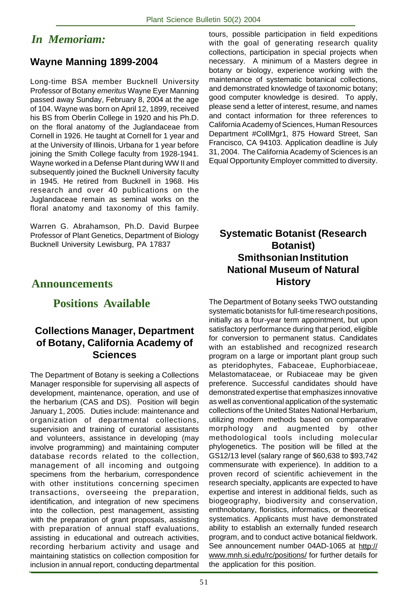# *In Memoriam:*

# **Wayne Manning 1899-2004**

Long-time BSA member Bucknell University Professor of Botany emeritus Wayne Eyer Manning passed away Sunday, February 8, 2004 at the age of 104. Wayne was born on April 12, 1899, received his BS from Oberlin College in 1920 and his Ph.D. on the floral anatomy of the Juglandaceae from Cornell in 1926. He taught at Cornell for 1 year and at the University of Illinois, Urbana for 1 year before joining the Smith College faculty from 1928-1941. Wayne worked in a Defense Plant during WW II and subsequently joined the Bucknell University faculty in 1945. He retired from Bucknell in 1968. His research and over 40 publications on the Juglandaceae remain as seminal works on the floral anatomy and taxonomy of this family.

Warren G. Abrahamson, Ph.D. David Burpee Professor of Plant Genetics, Department of Biology Bucknell University Lewisburg, PA 17837

## **Announcements**

## **Positions Available**

## **Collections Manager, Department of Botany, California Academy of Sciences**

The Department of Botany is seeking a Collections Manager responsible for supervising all aspects of development, maintenance, operation, and use of the herbarium (CAS and DS). Position will begin January 1, 2005. Duties include: maintenance and organization of departmental collections, supervision and training of curatorial assistants and volunteers, assistance in developing (may involve programming) and maintaining computer database records related to the collection, management of all incoming and outgoing specimens from the herbarium, correspondence with other institutions concerning specimen transactions, overseeing the preparation, identification, and integration of new specimens into the collection, pest management, assisting with the preparation of grant proposals, assisting with preparation of annual staff evaluations, assisting in educational and outreach activities, recording herbarium activity and usage and maintaining statistics on collection composition for inclusion in annual report, conducting departmental tours, possible participation in field expeditions with the goal of generating research quality collections, participation in special projects when necessary. A minimum of a Masters degree in botany or biology, experience working with the maintenance of systematic botanical collections, and demonstrated knowledge of taxonomic botany; good computer knowledge is desired. To apply, please send a letter of interest, resume, and names and contact information for three references to California Academy of Sciences, Human Resources Department #CollMgr1, 875 Howard Street, San Francisco, CA 94103. Application deadline is July 31, 2004. The California Academy of Sciences is an Equal Opportunity Employer committed to diversity.

## **Systematic Botanist (Research Botanist) Smithsonian Institution National Museum of Natural History**

The Department of Botany seeks TWO outstanding systematic botanists for full-time research positions, initially as a four-year term appointment, but upon satisfactory performance during that period, eligible for conversion to permanent status. Candidates with an established and recognized research program on a large or important plant group such as pteridophytes, Fabaceae, Euphorbiaceae, Melastomataceae, or Rubiaceae may be given preference. Successful candidates should have demonstrated expertise that emphasizes innovative as well as conventional application of the systematic collections of the United States National Herbarium, utilizing modern methods based on comparative morphology and augmented by other methodological tools including molecular phylogenetics. The position will be filled at the GS12/13 level (salary range of \$60,638 to \$93,742 commensurate with experience). In addition to a proven record of scientific achievement in the research specialty, applicants are expected to have expertise and interest in additional fields, such as biogeography, biodiversity and conservation, enthnobotany, floristics, informatics, or theoretical systematics. Applicants must have demonstrated ability to establish an externally funded research program, and to conduct active botanical fieldwork. See announcement number 04AD-1065 at http:// www.mnh.si.edu/rc/positions/ for further details for the application for this position.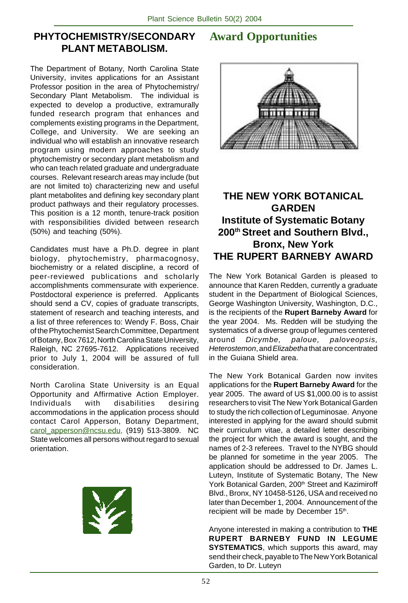## **PHYTOCHEMISTRY/SECONDARY PLANT METABOLISM.**

The Department of Botany, North Carolina State University, invites applications for an Assistant Professor position in the area of Phytochemistry/ Secondary Plant Metabolism. The individual is expected to develop a productive, extramurally funded research program that enhances and complements existing programs in the Department, College, and University. We are seeking an individual who will establish an innovative research program using modern approaches to study phytochemistry or secondary plant metabolism and who can teach related graduate and undergraduate courses. Relevant research areas may include (but are not limited to) characterizing new and useful plant metabolites and defining key secondary plant product pathways and their regulatory processes. This position is a 12 month, tenure-track position with responsibilities divided between research (50%) and teaching (50%).

Candidates must have a Ph.D. degree in plant biology, phytochemistry, pharmacognosy, biochemistry or a related discipline, a record of peer-reviewed publications and scholarly accomplishments commensurate with experience. Postdoctoral experience is preferred. Applicants should send a CV, copies of graduate transcripts, statement of research and teaching interests, and a list of three references to: Wendy F. Boss, Chair of the Phytochemist Search Committee, Department of Botany, Box 7612, North Carolina State University, Raleigh, NC 27695-7612. Applications received prior to July 1, 2004 will be assured of full consideration.

North Carolina State University is an Equal Opportunity and Affirmative Action Employer. Individuals with disabilities desiring accommodations in the application process should contact Carol Apperson, Botany Department, carol\_apperson@ncsu.edu, (919) 513-3809. NC State welcomes all persons without regard to sexual orientation.



# **Award Opportunities**



## **THE NEW YORK BOTANICAL GARDEN Institute of Systematic Botany 200th Street and Southern Blvd., Bronx, New York THE RUPERT BARNEBY AWARD**

The New York Botanical Garden is pleased to announce that Karen Redden, currently a graduate student in the Department of Biological Sciences, George Washington University, Washington, D.C., is the recipients of the **Rupert Barneby Award** for the year 2004. Ms. Redden will be studying the systematics of a diverse group of legumes centered around Dicymbe, paloue, paloveopsis, Heterostemon, and Elizabetha that are concentrated in the Guiana Shield area.

The New York Botanical Garden now invites applications for the **Rupert Barneby Award** for the year 2005. The award of US \$1,000.00 is to assist researchers to visit The New York Botanical Garden to study the rich collection of Leguminosae. Anyone interested in applying for the award should submit their curriculum vitae, a detailed letter describing the project for which the award is sought, and the names of 2-3 referees. Travel to the NYBG should be planned for sometime in the year 2005. The application should be addressed to Dr. James L. Luteyn, Institute of Systematic Botany, The New York Botanical Garden, 200<sup>th</sup> Street and Kazimiroff Blvd., Bronx, NY 10458-5126, USA and received no later than December 1, 2004. Announcement of the recipient will be made by December 15th.

Anyone interested in making a contribution to **THE RUPERT BARNEBY FUND IN LEGUME SYSTEMATICS**, which supports this award, may send their check, payable to The New York Botanical Garden, to Dr. Luteyn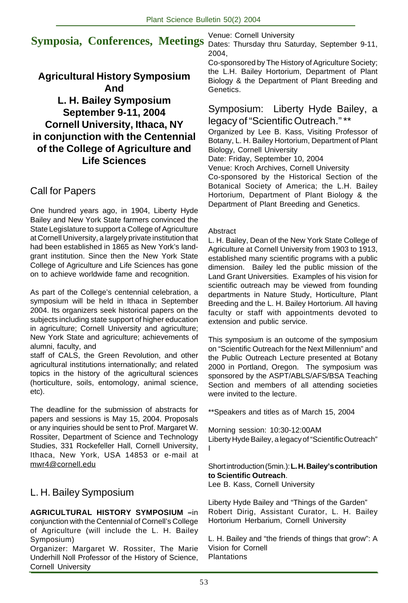# **Symposia, Conferences, Meetings**

**Agricultural History Symposium And L. H. Bailey Symposium September 9-11, 2004 Cornell University, Ithaca, NY in conjunction with the Centennial of the College of Agriculture and Life Sciences**

# Call for Papers

One hundred years ago, in 1904, Liberty Hyde Bailey and New York State farmers convinced the State Legislature to support a College of Agriculture at Cornell University, a largely private institution that had been established in 1865 as New York's landgrant institution. Since then the New York State College of Agriculture and Life Sciences has gone on to achieve worldwide fame and recognition.

As part of the College's centennial celebration, a symposium will be held in Ithaca in September 2004. Its organizers seek historical papers on the subjects including state support of higher education in agriculture; Cornell University and agriculture; New York State and agriculture; achievements of alumni, faculty, and

staff of CALS, the Green Revolution, and other agricultural institutions internationally; and related topics in the history of the agricultural sciences (horticulture, soils, entomology, animal science, etc).

The deadline for the submission of abstracts for papers and sessions is May 15, 2004. Proposals or any inquiries should be sent to Prof. Margaret W. Rossiter, Department of Science and Technology Studies, 331 Rockefeller Hall, Cornell University, Ithaca, New York, USA 14853 or e-mail at mwr4@cornell.edu

# L. H. Bailey Symposium

**AGRICULTURAL HISTORY SYMPOSIUM –**in conjunction with the Centennial of Cornell's College of Agriculture (will include the L. H. Bailey Symposium)

Organizer: Margaret W. Rossiter, The Marie Underhill Noll Professor of the History of Science, Cornell University

Venue: Cornell University

Dates: Thursday thru Saturday, September 9-11, 2004,

Co-sponsored by The History of Agriculture Society; the L.H. Bailey Hortorium, Department of Plant Biology & the Department of Plant Breeding and Genetics.

## Symposium: Liberty Hyde Bailey, a legacy of "Scientific Outreach." \*\*

Organized by Lee B. Kass, Visiting Professor of Botany, L. H. Bailey Hortorium, Department of Plant Biology, Cornell University

Date: Friday, September 10, 2004

Venue: Kroch Archives, Cornell University

Co-sponsored by the Historical Section of the Botanical Society of America; the L.H. Bailey Hortorium, Department of Plant Biology & the Department of Plant Breeding and Genetics.

## Abstract

L. H. Bailey, Dean of the New York State College of Agriculture at Cornell University from 1903 to 1913, established many scientific programs with a public dimension. Bailey led the public mission of the Land Grant Universities. Examples of his vision for scientific outreach may be viewed from founding departments in Nature Study, Horticulture, Plant Breeding and the L. H. Bailey Hortorium. All having faculty or staff with appointments devoted to extension and public service.

This symposium is an outcome of the symposium on "Scientific Outreach for the Next Millennium" and the Public Outreach Lecture presented at Botany 2000 in Portland, Oregon. The symposium was sponsored by the ASPT/ABLS/AFS/BSA Teaching Section and members of all attending societies were invited to the lecture.

\*\*Speakers and titles as of March 15, 2004

Morning session: 10:30-12:00AM Liberty Hyde Bailey, a legacy of "Scientific Outreach" I

## Short introduction (5min.): **L. H. Bailey's contribution to Scientific Outreach**.

Lee B. Kass, Cornell University

Liberty Hyde Bailey and "Things of the Garden" Robert Dirig, Assistant Curator, L. H. Bailey Hortorium Herbarium, Cornell University

L. H. Bailey and "the friends of things that grow": A Vision for Cornell **Plantations**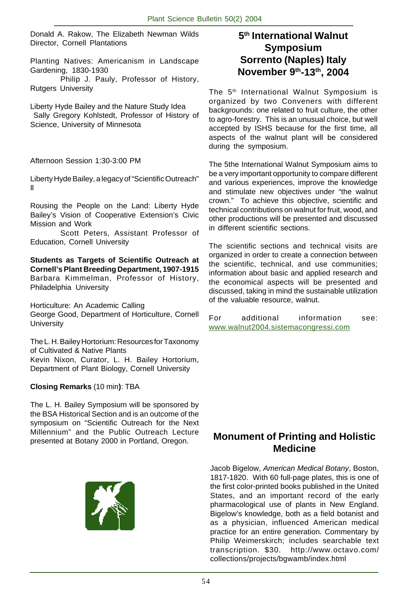Donald A. Rakow, The Elizabeth Newman Wilds Director, Cornell Plantations

Planting Natives: Americanism in Landscape Gardening, 1830-1930

Philip J. Pauly, Professor of History, Rutgers University

Liberty Hyde Bailey and the Nature Study Idea Sally Gregory Kohlstedt, Professor of History of Science, University of Minnesota

Afternoon Session 1:30-3:00 PM

Liberty Hyde Bailey, a legacy of "Scientific Outreach" II

Rousing the People on the Land: Liberty Hyde Bailey's Vision of Cooperative Extension's Civic Mission and Work

Scott Peters, Assistant Professor of Education, Cornell University

**Students as Targets of Scientific Outreach at Cornell's Plant Breeding Department, 1907-1915** Barbara Kimmelman, Professor of History, Philadelphia University

Horticulture: An Academic Calling George Good, Department of Horticulture, Cornell **University** 

The L. H. Bailey Hortorium: Resources for Taxonomy of Cultivated & Native Plants Kevin Nixon, Curator, L. H. Bailey Hortorium, Department of Plant Biology, Cornell University

### **Closing Remarks** (10 min**)**: TBA

The L. H. Bailey Symposium will be sponsored by the BSA Historical Section and is an outcome of the symposium on "Scientific Outreach for the Next Millennium" and the Public Outreach Lecture presented at Botany 2000 in Portland, Oregon.



## **5th International Walnut Symposium Sorrento (Naples) Italy November 9th-13th, 2004**

The 5<sup>th</sup> International Walnut Symposium is organized by two Conveners with different backgrounds: one related to fruit culture, the other to agro-forestry. This is an unusual choice, but well accepted by ISHS because for the first time, all aspects of the walnut plant will be considered during the symposium.

The 5the International Walnut Symposium aims to be a very important opportunity to compare different and various experiences, improve the knowledge and stimulate new objectives under "the walnut crown." To achieve this objective, scientific and technical contributions on walnut for fruit, wood, and other productions will be presented and discussed in different scientific sections.

The scientific sections and technical visits are organized in order to create a connection between the scientific, technical, and use communities; information about basic and applied research and the economical aspects will be presented and discussed, taking in mind the sustainable utilization of the valuable resource, walnut.

For additional information see: www.walnut2004.sistemacongressi.com

## **Monument of Printing and Holistic Medicine**

Jacob Bigelow, American Medical Botany, Boston, 1817-1820. With 60 full-page plates, this is one of the first color-printed books published in the United States, and an important record of the early pharmacological use of plants in New England. Bigelow's knowledge, both as a field botanist and as a physician, influenced American medical practice for an entire generation. Commentary by Philip Weimerskirch; includes searchable text transcription. \$30. http://www.octavo.com/ collections/projects/bgwamb/index.html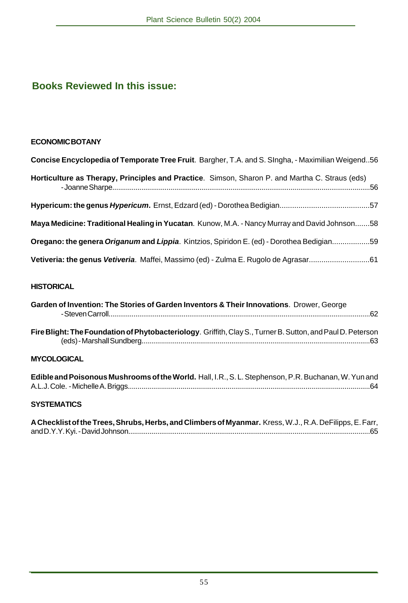# **Books Reviewed In this issue:**

## **ECONOMIC BOTANY**

| Concise Encyclopedia of Temporate Tree Fruit. Bargher, T.A. and S. Singha, - Maximilian Weigend56 |
|---------------------------------------------------------------------------------------------------|
| Horticulture as Therapy, Principles and Practice. Simson, Sharon P. and Martha C. Straus (eds)    |
|                                                                                                   |
| Maya Medicine: Traditional Healing in Yucatan. Kunow, M.A. - Nancy Murray and David Johnson58     |
| Oregano: the genera Origanum and Lippia. Kintzios, Spiridon E. (ed) - Dorothea Bedigian 59        |
|                                                                                                   |

## **HISTORICAL**

| Garden of Invention: The Stories of Garden Inventors & Their Innovations. Drower, George                           | 62 |
|--------------------------------------------------------------------------------------------------------------------|----|
| <b>Fire Blight: The Foundation of Phytobacteriology. Griffith, Clay S., Turner B. Sutton, and Paul D. Peterson</b> | 63 |
| <b>MYCOLOGICAL</b>                                                                                                 |    |

| Edible and Poisonous Mushrooms of the World. Hall, I.R., S. L. Stephenson, P.R. Buchanan, W. Yun and |  |
|------------------------------------------------------------------------------------------------------|--|
|                                                                                                      |  |

## **SYSTEMATICS**

| A Checklist of the Trees, Shrubs, Herbs, and Climbers of Myanmar. Kress, W.J., R.A. DeFilipps, E. Farr, |  |
|---------------------------------------------------------------------------------------------------------|--|
|                                                                                                         |  |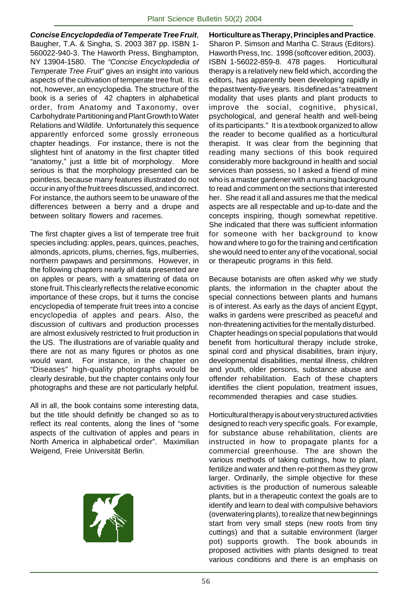**Concise Encyclopdedia of Temperate Tree Fruit**, Baugher, T.A. & Singha, S. 2003 387 pp. ISBN 1- 560022-940-3. The Haworth Press, Binghampton, NY 13904-1580. The "Concise Encyclopdedia of Temperate Tree Fruit" gives an insight into various aspects of the cultivation of temperate tree fruit. It is not, however, an encyclopedia. The structure of the book is a series of 42 chapters in alphabetical order, from Anatomy and Taxonomy, over Carbohydrate Partitioning and Plant Growth to Water Relations and Wildlife. Unfortunately this sequence apparently enforced some grossly erroneous chapter headings. For instance, there is not the slightest hint of anatomy in the first chapter titled "anatomy," just a little bit of morphology. More serious is that the morphology presented can be pointless, because many features illustrated do not occur in any of the fruit trees discussed, and incorrect. For instance, the authors seem to be unaware of the differences between a berry and a drupe and between solitary flowers and racemes.

The first chapter gives a list of temperate tree fruit species including: apples, pears, quinces, peaches, almonds, apricots, plums, cherries, figs, mulberries, northern pawpaws and persimmons. However, in the following chapters nearly all data presented are on apples or pears, with a smattering of data on stone fruit. This clearly reflects the relative economic importance of these crops, but it turns the concise encyclopedia of temperate fruit trees into a concise encyclopedia of apples and pears. Also, the discussion of cultivars and production processes are almost exlusively restricted to fruit production in the US. The illustrations are of variable quality and there are not as many figures or photos as one would want. For instance, in the chapter on "Diseases" high-quality photographs would be clearly desirable, but the chapter contains only four photographs and these are not particularly helpful.

All in all, the book contains some interesting data, but the title should definitly be changed so as to reflect its real contents, along the lines of "some aspects of the cultivation of apples and pears in North America in alphabetical order". Maximilian Weigend, Freie Universität Berlin.



**Horticulture as Therapy, Principles and Practice**. Sharon P. Simson and Martha C. Straus (Editors). Haworth Press, Inc. 1998 (softcover edition, 2003). ISBN 1-56022-859-8. 478 pages. Horticultural therapy is a relatively new field which, according the editors, has apparently been developing rapidly in the past twenty-five years. It is defined as "a treatment modality that uses plants and plant products to improve the social, cognitive, physical, psychological, and general health and well-being of its participants." It is a textbook organized to allow the reader to become qualified as a horticultural therapist. It was clear from the beginning that reading many sections of this book required considerably more background in health and social services than possess, so I asked a friend of mine who is a master gardener with a nursing background to read and comment on the sections that interested her. She read it all and assures me that the medical aspects are all respectable and up-to-date and the concepts inspiring, though somewhat repetitive. She indicated that there was sufficient information for someone with her background to know how and where to go for the training and certification she would need to enter any of the vocational, social or therapeutic programs in this field.

Because botanists are often asked why we study plants, the information in the chapter about the special connections between plants and humans is of interest. As early as the days of ancient Egypt, walks in gardens were prescribed as peaceful and non-threatening activities for the mentally disturbed. Chapter headings on special populations that would benefit from horticultural therapy include stroke, spinal cord and physical disabilities, brain injury, developmental disabilities, mental illness, children and youth, older persons, substance abuse and offender rehabilitation. Each of these chapters identifies the client population, treatment issues, recommended therapies and case studies.

Horticultural therapy is about very structured activities designed to reach very specific goals. For example, for substance abuse rehabilitation, clients are instructed in how to propagate plants for a commercial greenhouse. The are shown the various methods of taking cuttings, how to plant, fertilize and water and then re-pot them as they grow larger. Ordinarily, the simple objective for these activities is the production of numerous saleable plants, but in a therapeutic context the goals are to identify and learn to deal with compulsive behaviors (overwatering plants), to realize that new beginnings start from very small steps (new roots from tiny cuttings) and that a suitable environment (larger pot) supports growth. The book abounds in proposed activities with plants designed to treat various conditions and there is an emphasis on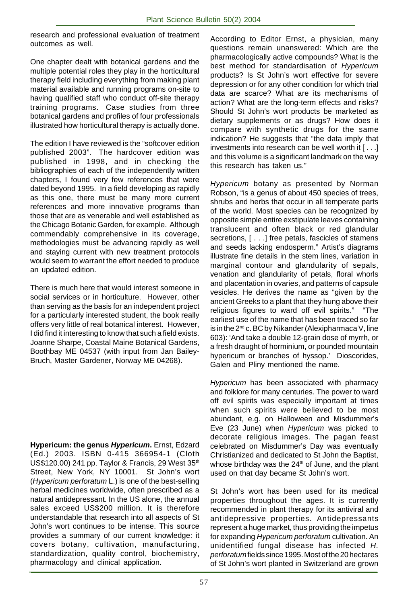research and professional evaluation of treatment outcomes as well.

One chapter dealt with botanical gardens and the multiple potential roles they play in the horticultural therapy field including everything from making plant material available and running programs on-site to having qualified staff who conduct off-site therapy training programs. Case studies from three botanical gardens and profiles of four professionals illustrated how horticultural therapy is actually done.

The edition I have reviewed is the "softcover edition published 2003". The hardcover edition was published in 1998, and in checking the bibliographies of each of the independently written chapters, I found very few references that were dated beyond 1995. In a field developing as rapidly as this one, there must be many more current references and more innovative programs than those that are as venerable and well established as the Chicago Botanic Garden, for example. Although commendably comprehensive in its coverage, methodologies must be advancing rapidly as well and staying current with new treatment protocols would seem to warrant the effort needed to produce an updated edition.

There is much here that would interest someone in social services or in horticulture. However, other than serving as the basis for an independent project for a particularly interested student, the book really offers very little of real botanical interest. However, I did find it interesting to know that such a field exists. Joanne Sharpe, Coastal Maine Botanical Gardens, Boothbay ME 04537 (with input from Jan Bailey-Bruch, Master Gardener, Norway ME 04268).

**Hypericum: the genus Hypericum.** Ernst, Edzard (Ed.) 2003. ISBN 0-415 366954-1 (Cloth US\$120.00) 241 pp. Taylor & Francis, 29 West 35<sup>th</sup> Street, New York, NY 10001. St John's wort (Hypericum perforatum L.) is one of the best-selling herbal medicines worldwide, often prescribed as a natural antidepressant. In the US alone, the annual sales exceed US\$200 million. It is therefore understandable that research into all aspects of St John's wort continues to be intense. This source provides a summary of our current knowledge: it covers botany, cultivation, manufacturing, standardization, quality control, biochemistry, pharmacology and clinical application.

According to Editor Ernst, a physician, many questions remain unanswered: Which are the pharmacologically active compounds? What is the best method for standardisation of Hypericum products? Is St John's wort effective for severe depression or for any other condition for which trial data are scarce? What are its mechanisms of action? What are the long-term effects and risks? Should St John's wort products be marketed as dietary supplements or as drugs? How does it compare with synthetic drugs for the same indication? He suggests that "the data imply that investments into research can be well worth it [ . . .] and this volume is a significant landmark on the way this research has taken us."

Hypericum botany as presented by Norman Robson, "is a genus of about 450 species of trees, shrubs and herbs that occur in all temperate parts of the world. Most species can be recognized by opposite simple entire exstipulate leaves containing translucent and often black or red glandular secretions, [ . . .] free petals, fascicles of stamens and seeds lacking endosperm." Artist's diagrams illustrate fine details in the stem lines, variation in marginal contour and glandularity of sepals, venation and glandularity of petals, floral whorls and placentation in ovaries, and patterns of capsule vesicles. He derives the name as "given by the ancient Greeks to a plant that they hung above their religious figures to ward off evil spirits." "The earliest use of the name that has been traced so far is in the  $2^{nd}$  c. BC by Nikander (Alexipharmaca V, line 603): 'And take a double 12-grain dose of myrrh, or a fresh draught of horminium, or pounded mountain hypericum or branches of hyssop.' Dioscorides, Galen and Pliny mentioned the name.

Hypericum has been associated with pharmacy and folklore for many centuries. The power to ward off evil spirits was especially important at times when such spirits were believed to be most abundant, e.g. on Halloween and Misdummer's Eve (23 June) when Hypericum was picked to decorate religious images. The pagan feast celebrated on Misdummer's Day was eventually Christianized and dedicated to St John the Baptist, whose birthday was the  $24<sup>th</sup>$  of June, and the plant used on that day became St John's wort.

St John's wort has been used for its medical properties throughout the ages. It is currently recommended in plant therapy for its antiviral and antidepressive properties. Antidepressants represent a huge market, thus providing the impetus for expanding Hypericum perforatum cultivation. An unidentified fungal disease has infected H. perforatum fields since 1995. Most of the 20 hectares of St John's wort planted in Switzerland are grown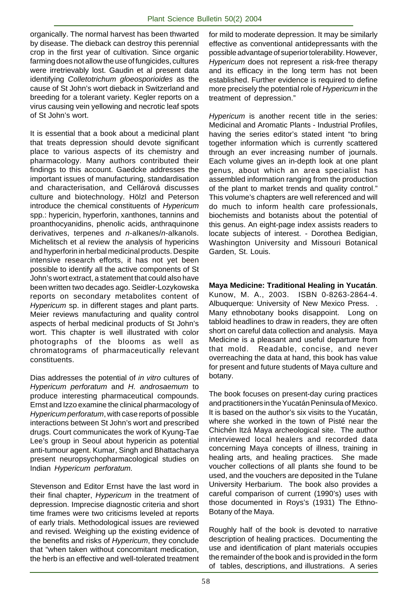organically. The normal harvest has been thwarted by disease. The dieback can destroy this perennial crop in the first year of cultivation. Since organic farming does not allow the use of fungicides, cultures were irretrievably lost. Gaudin et al present data identifying Colletotrichum gloeosporioides as the cause of St John's wort dieback in Switzerland and breeding for a tolerant variety. Kegler reports on a virus causing vein yellowing and necrotic leaf spots of St John's wort.

It is essential that a book about a medicinal plant that treats depression should devote significant place to various aspects of its chemistry and pharmacology. Many authors contributed their findings to this account. Gaedcke addresses the important issues of manufacturing, standardisation and characterisation, and Cellárová discusses culture and biotechnology. Hölzl and Peterson introduce the chemical constituents of Hypericum spp.: hypericin, hyperforin, xanthones, tannins and proanthocyanidins, phenolic acids, anthraquinone derivatives, terpenes and *n*-alkanes/*n*-alkanols. Michelitsch et al review the analysis of hypericins and hyperforin in herbal medicinal products. Despite intensive research efforts, it has not yet been possible to identify all the active components of St John's wort extract, a statement that could also have been written two decades ago. Seidler-Lozykowska reports on secondary metabolites content of Hypericum sp. in different stages and plant parts. Meier reviews manufacturing and quality control aspects of herbal medicinal products of St John's wort. This chapter is well illustrated with color photographs of the blooms as well as chromatograms of pharmaceutically relevant constituents.

Dias addresses the potential of in vitro cultures of Hypericum perforatum and H. androsaemum to produce interesting pharmaceutical compounds. Ernst and Izzo examine the clinical pharmacology of Hypericum perforatum, with case reports of possible interactions between St John's wort and prescribed drugs. Court communicates the work of Kyung-Tae Lee's group in Seoul about hypericin as potential anti-tumour agent. Kumar, Singh and Bhattacharya present neuropsychopharmacological studies on Indian Hypericum perforatum.

Stevenson and Editor Ernst have the last word in their final chapter, Hypericum in the treatment of depression. Imprecise diagnostic criteria and short time frames were two criticisms leveled at reports of early trials. Methodological issues are reviewed and revised. Weighing up the existing evidence of the benefits and risks of Hypericum, they conclude that "when taken without concomitant medication, the herb is an effective and well-tolerated treatment for mild to moderate depression. It may be similarly effective as conventional antidepressants with the possible advantage of superior tolerability. However, Hypericum does not represent a risk-free therapy and its efficacy in the long term has not been established. Further evidence is required to define more precisely the potential role of Hypericum in the treatment of depression."

Hypericum is another recent title in the series: Medicinal and Aromatic Plants - Industrial Profiles, having the series editor's stated intent "to bring together information which is currently scattered through an ever increasing number of journals. Each volume gives an in-depth look at one plant genus, about which an area specialist has assembled information ranging from the production of the plant to market trends and quality control." This volume's chapters are well referenced and will do much to inform health care professionals, biochemists and botanists about the potential of this genus. An eight-page index assists readers to locate subjects of interest. - Dorothea Bedigian, Washington University and Missouri Botanical Garden, St. Louis.

**Maya Medicine: Traditional Healing in Yucatán**. Kunow, M. A., 2003. ISBN 0-8263-2864-4. Albuquerque: University of New Mexico Press. . Many ethnobotany books disappoint. Long on tabloid headlines to draw in readers, they are often short on careful data collection and analysis. Maya Medicine is a pleasant and useful departure from that mold. Readable, concise, and never overreaching the data at hand, this book has value for present and future students of Maya culture and botany.

The book focuses on present-day curing practices and practitioners in the Yucatán Peninsula of Mexico. It is based on the author's six visits to the Yucatán, where she worked in the town of Pisté near the Chichén Itzá Maya archeological site. The author interviewed local healers and recorded data concerning Maya concepts of illness, training in healing arts, and healing practices. She made voucher collections of all plants she found to be used, and the vouchers are deposited in the Tulane University Herbarium. The book also provides a careful comparison of current (1990's) uses with those documented in Roys's (1931) The Ethno-Botany of the Maya.

Roughly half of the book is devoted to narrative description of healing practices. Documenting the use and identification of plant materials occupies the remainder of the book and is provided in the form of tables, descriptions, and illustrations. A series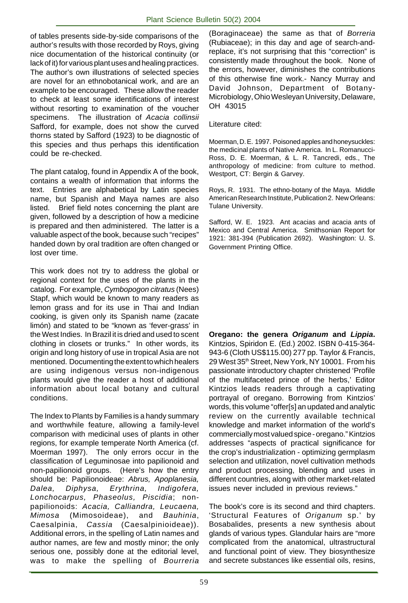of tables presents side-by-side comparisons of the author's results with those recorded by Roys, giving nice documentation of the historical continuity (or lack of it) for various plant uses and healing practices. The author's own illustrations of selected species are novel for an ethnobotanical work, and are an example to be encouraged. These allow the reader to check at least some identifications of interest without resorting to examination of the voucher specimens. The illustration of Acacia collinsii Safford, for example, does not show the curved thorns stated by Safford (1923) to be diagnostic of this species and thus perhaps this identification could be re-checked.

The plant catalog, found in Appendix A of the book, contains a wealth of information that informs the text. Entries are alphabetical by Latin species name, but Spanish and Maya names are also listed. Brief field notes concerning the plant are given, followed by a description of how a medicine is prepared and then administered. The latter is a valuable aspect of the book, because such "recipes" handed down by oral tradition are often changed or lost over time.

This work does not try to address the global or regional context for the uses of the plants in the catalog. For example, Cymbopogon citratus (Nees) Stapf, which would be known to many readers as lemon grass and for its use in Thai and Indian cooking, is given only its Spanish name (zacate limón) and stated to be "known as 'fever-grass' in the West Indies. In Brazil it is dried and used to scent clothing in closets or trunks." In other words, its origin and long history of use in tropical Asia are not mentioned. Documenting the extent to which healers are using indigenous versus non-indigenous plants would give the reader a host of additional information about local botany and cultural conditions.

The Index to Plants by Families is a handy summary and worthwhile feature, allowing a family-level comparison with medicinal uses of plants in other regions, for example temperate North America (cf. Moerman 1997). The only errors occur in the classification of Leguminosae into papilionoid and non-papilionoid groups. (Here's how the entry should be: Papilionoideae: Abrus, Apoplanesia, Dalea, Diphysa, Erythrina, Indigofera, Lonchocarpus, Phaseolus, Piscidia; nonpapilionoids: Acacia, Calliandra, Leucaena, Mimosa (Mimosoideae), and Bauhinia, Caesalpinia, Cassia (Caesalpinioideae)). Additional errors, in the spelling of Latin names and author names, are few and mostly minor; the only serious one, possibly done at the editorial level, was to make the spelling of Bourreria (Boraginaceae) the same as that of Borreria (Rubiaceae); in this day and age of search-andreplace, it's not surprising that this "correction" is consistently made throughout the book. None of the errors, however, diminishes the contributions of this otherwise fine work.- Nancy Murray and David Johnson, Department of Botany-Microbiology, Ohio Wesleyan University, Delaware, OH 43015

Literature cited:

Moerman, D. E. 1997. Poisoned apples and honeysuckles: the medicinal plants of Native America. In L. Romanucci-Ross, D. E. Moerman, & L. R. Tancredi, eds., The anthropology of medicine: from culture to method. Westport, CT: Bergin & Garvey.

Roys, R. 1931. The ethno-botany of the Maya. Middle American Research Institute, Publication 2. New Orleans: Tulane University.

Safford, W. E. 1923. Ant acacias and acacia ants of Mexico and Central America. Smithsonian Report for 1921: 381-394 (Publication 2692). Washington: U. S. Government Printing Office.

**Oregano: the genera Origanum and Lippia.** Kintzios, Spiridon E. (Ed.) 2002. ISBN 0-415-364- 943-6 (Cloth US\$115.00) 277 pp. Taylor & Francis, 29 West 35th Street, New York, NY 10001. From his passionate introductory chapter christened 'Profile of the multifaceted prince of the herbs,' Editor Kintzios leads readers through a captivating portrayal of oregano. Borrowing from Kintzios' words, this volume "offer[s] an updated and analytic review on the currently available technical knowledge and market information of the world's commercially most valued spice - oregano." Kintzios addresses "aspects of practical significance for the crop's industrialization - optimizing germplasm selection and utilization, novel cultivation methods and product processing, blending and uses in different countries, along with other market-related issues never included in previous reviews."

The book's core is its second and third chapters. 'Structural Features of Origanum sp.' by Bosabalides, presents a new synthesis about glands of various types. Glandular hairs are "more complicated from the anatomical, ultrastructural and functional point of view. They biosynthesize and secrete substances like essential oils, resins,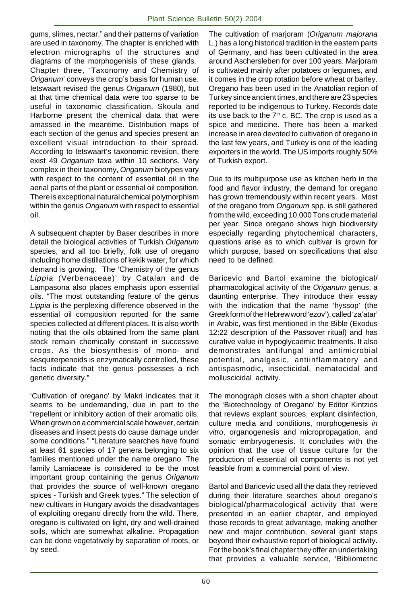gums, slimes, nectar," and their patterns of variation are used in taxonomy. The chapter is enriched with electron micrographs of the structures and diagrams of the morphogenisis of these glands. Chapter three, 'Taxonomy and Chemistry of Origanum' conveys the crop's basis for human use. Ietswaart revised the genus Origanum (1980), but at that time chemical data were too sparse to be useful in taxonomic classification. Skoula and Harborne present the chemical data that were amassed in the meantime. Distribution maps of each section of the genus and species present an excellent visual introduction to their spread. According to Ietswaart's taxonomic revision, there exist 49 Origanum taxa within 10 sections. Very complex in their taxonomy, Origanum biotypes vary with respect to the content of essential oil in the aerial parts of the plant or essential oil composition. There is exceptional natural chemical polymorphism within the genus Origanum with respect to essential oil.

A subsequent chapter by Baser describes in more detail the biological activities of Turkish Origanum species, and all too briefly, folk use of oregano including home distillations of kekik water, for which demand is growing. The 'Chemistry of the genus Lippia (Verbenaceae)' by Catalan and de Lampasona also places emphasis upon essential oils. "The most outstanding feature of the genus Lippia is the perplexing difference observed in the essential oil composition reported for the same species collected at different places. It is also worth noting that the oils obtained from the same plant stock remain chemically constant in successive crops. As the biosynthesis of mono- and sesquiterpenoids is enzymatically controlled, these facts indicate that the genus possesses a rich genetic diversity."

'Cultivation of oregano' by Makri indicates that it seems to be undemanding, due in part to the "repellent or inhibitory action of their aromatic oils. When grown on a commercial scale however, certain diseases and insect pests do cause damage under some conditions." "Literature searches have found at least 61 species of 17 genera belonging to six families mentioned under the name oregano. The family Lamiaceae is considered to be the most important group containing the genus Origanum that provides the source of well-known oregano spices - Turkish and Greek types." The selection of new cultivars in Hungary avoids the disadvantages of exploiting oregano directly from the wild. There, oregano is cultivated on light, dry and well-drained soils, which are somewhat alkaline. Propagation can be done vegetatively by separation of roots, or by seed.

The cultivation of marjoram (Origanum majorana L.) has a long historical tradition in the eastern parts of Germany, and has been cultivated in the area around Aschersleben for over 100 years. Marjoram is cultivated mainly after potatoes or legumes, and it comes in the crop rotation before wheat or barley. Oregano has been used in the Anatolian region of Turkey since ancient times, and there are 23 species reported to be indigenous to Turkey. Records date its use back to the  $7<sup>th</sup>$  c. BC. The crop is used as a spice and medicine. There has been a marked increase in area devoted to cultivation of oregano in the last few years, and Turkey is one of the leading exporters in the world. The US imports roughly 50% of Turkish export.

Due to its multipurpose use as kitchen herb in the food and flavor industry, the demand for oregano has grown tremendously within recent years. Most of the oregano from Origanum spp. is still gathered from the wild, exceeding 10,000 Tons crude material per year. Since oregano shows high biodiversity especially regarding phytochemical characters, questions arise as to which cultivar is grown for which purpose, based on specifications that also need to be defined.

Baricevic and Bartol examine the biological/ pharmacological activity of the Origanum genus, a daunting enterprise. They introduce their essay with the indication that the name 'hyssop' (the Greek form of the Hebrew word 'ezov'), called 'za'atar' in Arabic, was first mentioned in the Bible (Exodus 12:22 description of the Passover ritual) and has curative value in hypoglycaemic treatments. It also demonstrates antifungal and antimicrobial potential, analgesic, antiinflammatory and antispasmodic, insecticidal, nematocidal and molluscicidal activity.

The monograph closes with a short chapter about the 'Biotechnology of Oregano' by Editor Kintzios that reviews explant sources, explant disinfection, culture media and conditions, morphogenesis in vitro, organogenesis and micropropagation, and somatic embryogenesis. It concludes with the opinion that the use of tissue culture for the production of essential oil components is not yet feasible from a commercial point of view.

Bartol and Baricevic used all the data they retrieved during their literature searches about oregano's biological/pharmacological activity that were presented in an earlier chapter, and employed those records to great advantage, making another new and major contribution, several giant steps beyond their exhaustive report of biological activity. For the book's final chapter they offer an undertaking that provides a valuable service, 'Bibliometric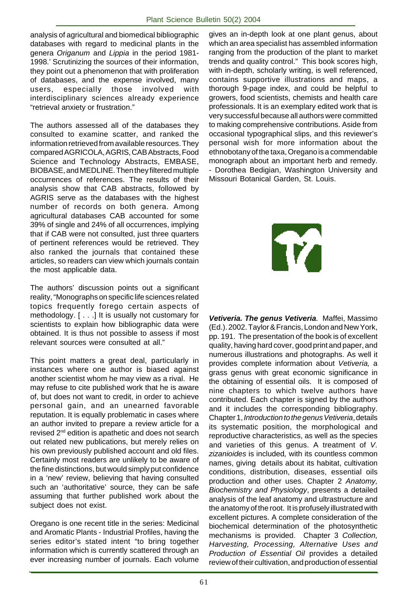analysis of agricultural and biomedical bibliographic databases with regard to medicinal plants in the genera Origanum and Lippia in the period 1981- 1998.' Scrutinizing the sources of their information, they point out a phenomenon that with proliferation of databases, and the expense involved, many users, especially those involved with interdisciplinary sciences already experience "retrieval anxiety or frustration."

The authors assessed all of the databases they consulted to examine scatter, and ranked the information retrieved from available resources. They compared AGRICOLA, AGRIS, CAB Abstracts, Food Science and Technology Abstracts, EMBASE, BIOBASE, and MEDLINE. Then they filtered multiple occurrences of references. The results of their analysis show that CAB abstracts, followed by AGRIS serve as the databases with the highest number of records on both genera. Among agricultural databases CAB accounted for some 39% of single and 24% of all occurrences, implying that if CAB were not consulted, just three quarters of pertinent references would be retrieved. They also ranked the journals that contained these articles, so readers can view which journals contain the most applicable data.

The authors' discussion points out a significant reality, "Monographs on specific life sciences related topics frequently forego certain aspects of methodology. [ . . .] It is usually not customary for scientists to explain how bibliographic data were obtained. It is thus not possible to assess if most relevant sources were consulted at all."

This point matters a great deal, particularly in instances where one author is biased against another scientist whom he may view as a rival. He may refuse to cite published work that he is aware of, but does not want to credit, in order to achieve personal gain, and an unearned favorable reputation. It is equally problematic in cases where an author invited to prepare a review article for a revised 2nd edition is apathetic and does not search out related new publications, but merely relies on his own previously published account and old files. Certainly most readers are unlikely to be aware of the fine distinctions, but would simply put confidence in a 'new' review, believing that having consulted such an 'authoritative' source, they can be safe assuming that further published work about the subject does not exist.

Oregano is one recent title in the series: Medicinal and Aromatic Plants - Industrial Profiles, having the series editor's stated intent "to bring together information which is currently scattered through an ever increasing number of journals. Each volume gives an in-depth look at one plant genus, about which an area specialist has assembled information ranging from the production of the plant to market trends and quality control." This book scores high, with in-depth, scholarly writing, is well referenced, contains supportive illustrations and maps, a thorough 9-page index, and could be helpful to growers, food scientists, chemists and health care professionals. It is an exemplary edited work that is very successful because all authors were committed to making comprehensive contributions. Aside from occasional typographical slips, and this reviewer's personal wish for more information about the ethnobotany of the taxa, Oregano is a commendable monograph about an important herb and remedy. - Dorothea Bedigian, Washington University and Missouri Botanical Garden, St. Louis.



**Vetiveria. The genus Vetiveria**. Maffei, Massimo (Ed.). 2002. Taylor & Francis, London and New York, pp. 191. The presentation of the book is of excellent quality, having hard cover, good print and paper, and numerous illustrations and photographs. As well it provides complete information about Vetiveria, a grass genus with great economic significance in the obtaining of essential oils. It is composed of nine chapters to which twelve authors have contributed. Each chapter is signed by the authors and it includes the corresponding bibliography. Chapter 1, Introduction to the genus Vetiveria, details its systematic position, the morphological and reproductive characteristics, as well as the species and varieties of this genus. A treatment of V. zizanioides is included, with its countless common names, giving details about its habitat, cultivation conditions, distribution, diseases, essential oils production and other uses. Chapter 2 Anatomy, Biochemistry and Physiology, presents a detailed analysis of the leaf anatomy and ultrastructure and the anatomy of the root. It is profusely illustrated with excellent pictures. A complete consideration of the biochemical determination of the photosynthetic mechanisms is provided. Chapter 3 Collection, Harvesting, Processing, Alternative Uses and Production of Essential Oil provides a detailed review of their cultivation, and production of essential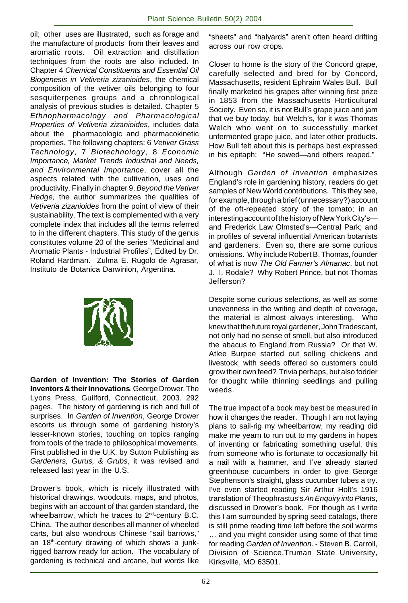oil; other uses are illustrated, such as forage and the manufacture of products from their leaves and aromatic roots. Oil extraction and distillation techniques from the roots are also included. In Chapter 4 Chemical Constituents and Essential Oil Biogenesis in Vetiveria zizanioides, the chemical composition of the vetiver oils belonging to four sesquiterpenes groups and a chronological analysis of previous studies is detailed. Chapter 5 Ethnopharmacology and Pharmacological Properties of Vetiveria zizanioides, includes data about the pharmacologic and pharmacokinetic properties. The following chapters: 6 Vetiver Grass Technology, 7 Biotechnology, 8 Economic Importance, Market Trends Industrial and Needs, and Environmental Importance, cover all the aspects related with the cultivation, uses and productivity. Finally in chapter 9, Beyond the Vetiver Hedge, the author summarizes the qualities of Vetiveria zizanioides from the point of view of their sustainability. The text is complemented with a very complete index that includes all the terms referred to in the different chapters. This study of the genus constitutes volume 20 of the series "Medicinal and Aromatic Plants - Industrial Profiles", Edited by Dr. Roland Hardman. Zulma E. Rugolo de Agrasar, Instituto de Botanica Darwinion, Argentina.



**Garden of Invention: The Stories of Garden Inventors & their Innovations**. George Drower. The Lyons Press, Guilford, Connecticut, 2003. 292 pages. The history of gardening is rich and full of surprises. In Garden of Invention, George Drower escorts us through some of gardening history's lesser-known stories, touching on topics ranging from tools of the trade to philosophical movements. First published in the U.K. by Sutton Publishing as Gardeners, Gurus, & Grubs, it was revised and released last year in the U.S.

Drower's book, which is nicely illustrated with historical drawings, woodcuts, maps, and photos, begins with an account of that garden standard, the wheelbarrow, which he traces to 2<sup>nd</sup>-century B.C. China. The author describes all manner of wheeled carts, but also wondrous Chinese "sail barrows," an 18<sup>th</sup>-century drawing of which shows a junkrigged barrow ready for action. The vocabulary of gardening is technical and arcane, but words like

"sheets" and "halyards" aren't often heard drifting across our row crops.

Closer to home is the story of the Concord grape, carefully selected and bred for by Concord, Massachusetts, resident Ephraim Wales Bull. Bull finally marketed his grapes after winning first prize in 1853 from the Massachusetts Horticultural Society. Even so, it is not Bull's grape juice and jam that we buy today, but Welch's, for it was Thomas Welch who went on to successfully market unfermented grape juice, and later other products. How Bull felt about this is perhaps best expressed in his epitaph: "He sowed—and others reaped."

Although Garden of Invention emphasizes England's role in gardening history, readers do get samples of New World contributions. This they see, for example, through a brief (unnecessary?) account of the oft-repeated story of the tomato; in an interesting account of the history of New York City's and Frederick Law Olmsted's—Central Park; and in profiles of several influential American botanists and gardeners. Even so, there are some curious omissions. Why include Robert B. Thomas, founder of what is now The Old Farmer's Almanac, but not J. I. Rodale? Why Robert Prince, but not Thomas Jefferson?

Despite some curious selections, as well as some unevenness in the writing and depth of coverage, the material is almost always interesting. Who knew that the future royal gardener, John Tradescant, not only had no sense of smell, but also introduced the abacus to England from Russia? Or that W. Atlee Burpee started out selling chickens and livestock, with seeds offered so customers could grow their own feed? Trivia perhaps, but also fodder for thought while thinning seedlings and pulling weeds.

The true impact of a book may best be measured in how it changes the reader. Though I am not laying plans to sail-rig my wheelbarrow, my reading did make me yearn to run out to my gardens in hopes of inventing or fabricating something useful, this from someone who is fortunate to occasionally hit a nail with a hammer, and I've already started greenhouse cucumbers in order to give George Stephenson's straight, glass cucumber tubes a try. I've even started reading Sir Arthur Holt's 1916 translation of Theophrastus's An Enquiry into Plants, discussed in Drower's book. For though as I write this I am surrounded by spring seed catalogs, there is still prime reading time left before the soil warms … and you might consider using some of that time for reading Garden of Invention. - Steven B. Carroll, Division of Science,Truman State University, Kirksville, MO 63501.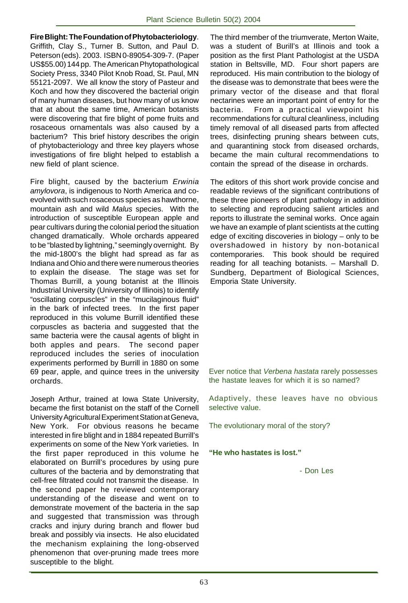**Fire Blight: The Foundation of Phytobacteriology**. Griffith, Clay S., Turner B. Sutton, and Paul D. Peterson (eds). 2003. ISBN 0-89054-309-7. (Paper US\$55.00) 144 pp. The American Phytopathological Society Press, 3340 Pilot Knob Road, St. Paul, MN 55121-2097. We all know the story of Pasteur and Koch and how they discovered the bacterial origin of many human diseases, but how many of us know that at about the same time, American botanists were discovering that fire blight of pome fruits and rosaceous ornamentals was also caused by a bacterium? This brief history describes the origin of phytobacteriology and three key players whose investigations of fire blight helped to establish a new field of plant science.

Fire blight, caused by the bacterium Erwinia amylovora, is indigenous to North America and coevolved with such rosaceous species as hawthorne, mountain ash and wild Malus species. With the introduction of susceptible European apple and pear cultivars during the colonial period the situation changed dramatically. Whole orchards appeared to be "blasted by lightning," seemingly overnight. By the mid-1800's the blight had spread as far as Indiana and Ohio and there were numerous theories to explain the disease. The stage was set for Thomas Burrill, a young botanist at the Illinois Industrial University (University of Illinois) to identify "oscillating corpuscles" in the "mucilaginous fluid" in the bark of infected trees. In the first paper reproduced in this volume Burrill identified these corpuscles as bacteria and suggested that the same bacteria were the causal agents of blight in both apples and pears. The second paper reproduced includes the series of inoculation experiments performed by Burrill in 1880 on some 69 pear, apple, and quince trees in the university orchards.

Joseph Arthur, trained at Iowa State University, became the first botanist on the staff of the Cornell University Agricultural Experiment Station at Geneva, New York. For obvious reasons he became interested in fire blight and in 1884 repeated Burrill's experiments on some of the New York varieties. In the first paper reproduced in this volume he elaborated on Burrill's procedures by using pure cultures of the bacteria and by demonstrating that cell-free filtrated could not transmit the disease. In the second paper he reviewed contemporary understanding of the disease and went on to demonstrate movement of the bacteria in the sap and suggested that transmission was through cracks and injury during branch and flower bud break and possibly via insects. He also elucidated the mechanism explaining the long-observed phenomenon that over-pruning made trees more susceptible to the blight.

The third member of the triumverate, Merton Waite, was a student of Burill's at Illinois and took a position as the first Plant Pathologist at the USDA station in Beltsville, MD. Four short papers are reproduced. His main contribution to the biology of the disease was to demonstrate that bees were the primary vector of the disease and that floral nectarines were an important point of entry for the bacteria. From a practical viewpoint his recommendations for cultural cleanliness, including timely removal of all diseased parts from affected trees, disinfecting pruning shears between cuts, and quarantining stock from diseased orchards, became the main cultural recommendations to contain the spread of the disease in orchards.

The editors of this short work provide concise and readable reviews of the significant contributions of these three pioneers of plant pathology in addition to selecting and reproducing salient articles and reports to illustrate the seminal works. Once again we have an example of plant scientists at the cutting edge of exciting discoveries in biology – only to be overshadowed in history by non-botanical contemporaries. This book should be required reading for all teaching botanists. – Marshall D. Sundberg, Department of Biological Sciences, Emporia State University.

Ever notice that Verbena hastata rarely possesses the hastate leaves for which it is so named?

Adaptively, these leaves have no obvious selective value.

The evolutionary moral of the story?

**"He who hastates is lost."**

- Don Les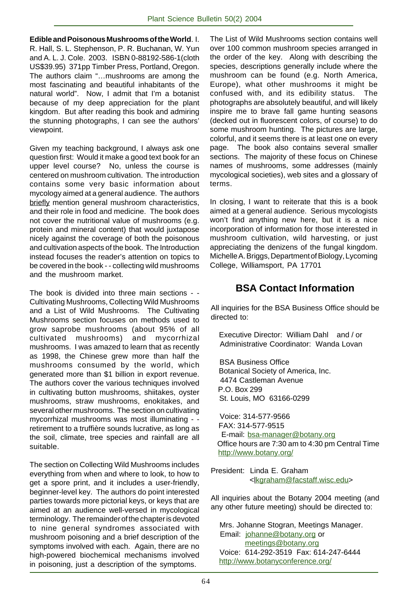**Edible and Poisonous Mushrooms of the World**. I. R. Hall, S. L. Stephenson, P. R. Buchanan, W. Yun and A. L. J. Cole. 2003. ISBN 0-88192-586-1(cloth US\$39.95) 371pp Timber Press, Portland, Oregon. The authors claim "…mushrooms are among the most fascinating and beautiful inhabitants of the natural world". Now, I admit that I'm a botanist because of my deep appreciation for the plant kingdom. But after reading this book and admiring the stunning photographs, I can see the authors' viewpoint.

Given my teaching background, I always ask one question first: Would it make a good text book for an upper level course? No, unless the course is centered on mushroom cultivation. The introduction contains some very basic information about mycology aimed at a general audience. The authors briefly mention general mushroom characteristics, and their role in food and medicine. The book does not cover the nutritional value of mushrooms (e.g. protein and mineral content) that would juxtapose nicely against the coverage of both the poisonous and cultivation aspects of the book. The Introduction instead focuses the reader's attention on topics to be covered in the book - - collecting wild mushrooms and the mushroom market.

The book is divided into three main sections - - Cultivating Mushrooms, Collecting Wild Mushrooms and a List of Wild Mushrooms. The Cultivating Mushrooms section focuses on methods used to grow saprobe mushrooms (about 95% of all cultivated mushrooms) and mycorrhizal mushrooms. I was amazed to learn that as recently as 1998, the Chinese grew more than half the mushrooms consumed by the world, which generated more than \$1 billion in export revenue. The authors cover the various techniques involved in cultivating button mushrooms, shiitakes, oyster mushrooms, straw mushrooms, enokitakes, and several other mushrooms. The section on cultivating mycorrhizal mushrooms was most illuminating - retirement to a truffière sounds lucrative, as long as the soil, climate, tree species and rainfall are all suitable.

The section on Collecting Wild Mushrooms includes everything from when and where to look, to how to get a spore print, and it includes a user-friendly, beginner-level key. The authors do point interested parties towards more pictorial keys, or keys that are aimed at an audience well-versed in mycological terminology. The remainder of the chapter is devoted to nine general syndromes associated with mushroom poisoning and a brief description of the symptoms involved with each. Again, there are no high-powered biochemical mechanisms involved in poisoning, just a description of the symptoms.

The List of Wild Mushrooms section contains well over 100 common mushroom species arranged in the order of the key. Along with describing the species, descriptions generally include where the mushroom can be found (e.g. North America, Europe), what other mushrooms it might be confused with, and its edibility status. The photographs are absolutely beautiful, and will likely inspire me to brave fall game hunting seasons (decked out in fluorescent colors, of course) to do some mushroom hunting. The pictures are large, colorful, and it seems there is at least one on every page. The book also contains several smaller sections. The majority of these focus on Chinese names of mushrooms, some addresses (mainly mycological societies), web sites and a glossary of terms.

In closing, I want to reiterate that this is a book aimed at a general audience. Serious mycologists won't find anything new here, but it is a nice incorporation of information for those interested in mushroom cultivation, wild harvesting, or just appreciating the denizens of the fungal kingdom. Michelle A. Briggs, Department of Biology, Lycoming College, Williamsport, PA 17701

## **BSA Contact Information**

All inquiries for the BSA Business Office should be directed to:

 Executive Director: William Dahl and / or Administrative Coordinator: Wanda Lovan

 BSA Business Office Botanical Society of America, Inc. 4474 Castleman Avenue P.O. Box 299 St. Louis, MO 63166-0299

 Voice: 314-577-9566 FAX: 314-577-9515 E-mail: bsa-manager@botany.org Office hours are 7:30 am to 4:30 pm Central Time http://www.botany.org/

President: Linda E. Graham <lkgraham@facstaff.wisc.edu>

All inquiries about the Botany 2004 meeting (and any other future meeting) should be directed to:

 Mrs. Johanne Stogran, Meetings Manager. Email: johanne@botany.org or meetings@botany.org Voice: 614-292-3519 Fax: 614-247-6444 http://www.botanyconference.org/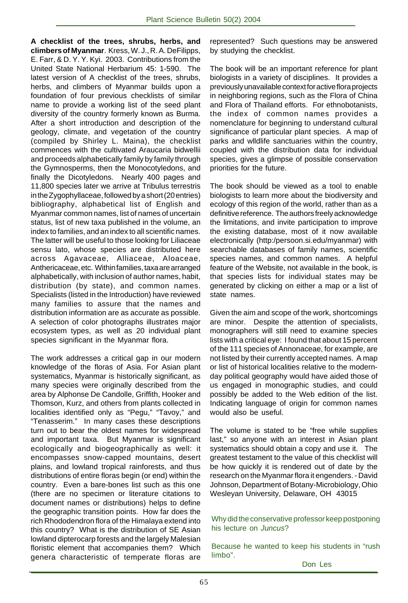**A checklist of the trees, shrubs, herbs, and climbers of Myanmar**. Kress, W. J., R. A. DeFilipps, E. Farr, & D. Y. Y. Kyi. 2003. Contributions from the United State National Herbarium 45: 1-590. The latest version of A checklist of the trees, shrubs, herbs, and climbers of Myanmar builds upon a foundation of four previous checklists of similar name to provide a working list of the seed plant diversity of the country formerly known as Burma. After a short introduction and description of the geology, climate, and vegetation of the country (compiled by Shirley L. Maina), the checklist commences with the cultivated Araucaria bidwellii and proceeds alphabetically family by family through the Gymnosperms, then the Monocotyledons, and finally the Dicotyledons. Nearly 400 pages and 11,800 species later we arrive at Tribulus terrestris in the Zygophyllaceae, followed by a short (20 entries) bibliography, alphabetical list of English and Myanmar common names, list of names of uncertain status, list of new taxa published in the volume, an index to families, and an index to all scientific names. The latter will be useful to those looking for Liliaceae sensu lato, whose species are distributed here across Agavaceae, Alliaceae, Aloaceae, Anthericaceae, etc. Within families, taxa are arranged alphabetically, with inclusion of author names, habit, distribution (by state), and common names. Specialists (listed in the Introduction) have reviewed many families to assure that the names and distribution information are as accurate as possible. A selection of color photographs illustrates major ecosystem types, as well as 20 individual plant species significant in the Myanmar flora.

The work addresses a critical gap in our modern knowledge of the floras of Asia. For Asian plant systematics, Myanmar is historically significant, as many species were originally described from the area by Alphonse De Candolle, Griffith, Hooker and Thomson, Kurz, and others from plants collected in localities identified only as "Pegu," "Tavoy," and "Tenasserim." In many cases these descriptions turn out to bear the oldest names for widespread and important taxa. But Myanmar is significant ecologically and biogeographically as well: it encompasses snow-capped mountains, desert plains, and lowland tropical rainforests, and thus distributions of entire floras begin (or end) within the country. Even a bare-bones list such as this one (there are no specimen or literature citations to document names or distributions) helps to define the geographic transition points. How far does the rich Rhododendron flora of the Himalaya extend into this country? What is the distribution of SE Asian lowland dipterocarp forests and the largely Malesian floristic element that accompanies them? Which genera characteristic of temperate floras are represented? Such questions may be answered by studying the checklist.

The book will be an important reference for plant biologists in a variety of disciplines. It provides a previously unavailable context for active flora projects in neighboring regions, such as the Flora of China and Flora of Thailand efforts. For ethnobotanists, the index of common names provides a nomenclature for beginning to understand cultural significance of particular plant species. A map of parks and wlldlife sanctuaries within the country, coupled with the distribution data for individual species, gives a glimpse of possible conservation priorities for the future.

The book should be viewed as a tool to enable biologists to learn more about the biodiversity and ecology of this region of the world, rather than as a definitive reference. The authors freely acknowledge the limitations, and invite participation to improve the existing database, most of it now available electronically (http:/persoon.si.edu/myanmar) with searchable databases of family names, scientific species names, and common names. A helpful feature of the Website, not available in the book, is that species lists for individual states may be generated by clicking on either a map or a list of state names.

Given the aim and scope of the work, shortcomings are minor. Despite the attention of specialists, monographers will still need to examine species lists with a critical eye: I found that about 15 percent of the 111 species of Annonaceae, for example, are not listed by their currently accepted names. A map or list of historical localities relative to the modernday political geography would have aided those of us engaged in monographic studies, and could possibly be added to the Web edition of the list. Indicating language of origin for common names would also be useful.

The volume is stated to be "free while supplies last," so anyone with an interest in Asian plant systematics should obtain a copy and use it. The greatest testament to the value of this checklist will be how quickly it is rendered out of date by the research on the Myanmar flora it engenders. - David Johnson, Department of Botany-Microbiology, Ohio Wesleyan University, Delaware, OH 43015

Why did the conservative professor keep postponing his lecture on *Juncus*?

Because he wanted to keep his students in "rush limbo".

Don Les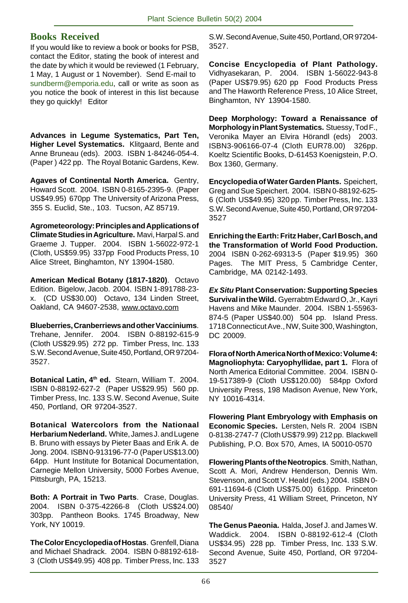## **Books Received**

If you would like to review a book or books for PSB, contact the Editor, stating the book of interest and the date by which it would be reviewed (1 February, 1 May, 1 August or 1 November). Send E-mail to sundberm@emporia.edu, call or write as soon as you notice the book of interest in this list because they go quickly! Editor

**Advances in Legume Systematics, Part Ten, Higher Level Systematics.** Klitgaard, Bente and Anne Bruneau (eds). 2003. ISBN 1-84246-054-4. (Paper ) 422 pp. The Royal Botanic Gardens, Kew.

**Agaves of Continental North America.** Gentry, Howard Scott. 2004. ISBN 0-8165-2395-9. (Paper US\$49.95) 670pp The University of Arizona Press, 355 S. Euclid, Ste., 103. Tucson, AZ 85719.

**Agrometeorology: Principles and Applications of Climate Studies in Agriculture.** Mavi, Harpal S. and Graeme J. Tupper. 2004. ISBN 1-56022-972-1 (Cloth, US\$59.95) 337pp Food Products Press, 10 Alice Street, Binghamton, NY 13904-1580.

**American Medical Botany (1817-1820)**. Octavo Edition. Bigelow, Jacob. 2004. ISBN 1-891788-23 x. (CD US\$30.00) Octavo, 134 Linden Street, Oakland, CA 94607-2538, www.octavo.com

**Blueberries, Cranberriews and other Vacciniums**. Trehane, Jennifer. 2004. ISBN 0-88192-615-9 (Cloth US\$29.95) 272 pp. Timber Press, Inc. 133 S.W. Second Avenue, Suite 450, Portland, OR 97204- 3527.

**Botanical Latin, 4th ed.** Stearn, William T. 2004. ISBN 0-88192-627-2 (Paper US\$29.95) 560 pp. Timber Press, Inc. 133 S.W. Second Avenue, Suite 450, Portland, OR 97204-3527.

**Botanical Watercolors from the Nationaal Herbarium Nederland.** White, James J. and Lugene B. Bruno with essays by Pieter Baas and Erik A. de Jong. 2004. ISBN 0-913196-77-0 (Paper US\$13.00) 64pp. Hunt Institute for Botanical Documentation, Carnegie Mellon University, 5000 Forbes Avenue, Pittsburgh, PA, 15213.

**Both: A Portrait in Two Parts**. Crase, Douglas. 2004. ISBN 0-375-42266-8 (Cloth US\$24.00) 303pp. Pantheon Books. 1745 Broadway, New York, NY 10019.

**The Color Encyclopedia of Hostas**. Grenfell, Diana and Michael Shadrack. 2004. ISBN 0-88192-618- 3 (Cloth US\$49.95) 408 pp. Timber Press, Inc. 133 S.W. Second Avenue, Suite 450, Portland, OR 97204- 3527.

**Concise Encyclopedia of Plant Pathology.** Vidhyasekaran, P. 2004. ISBN 1-56022-943-8 (Paper US\$79.95) 620 pp Food Products Press and The Haworth Reference Press, 10 Alice Street, Binghamton, NY 13904-1580.

**Deep Morphology: Toward a Renaissance of Morphology in Plant Systematics.** Stuessy, Tod F., Veronika Mayer an Elvira Hörandl (eds) 2003. ISBN3-906166-07-4 (Cloth EUR78.00) 326pp. Koeltz Scientific Books, D-61453 Koenigstein, P.O. Box 1360, Germany.

**Encyclopedia of Water Garden Plants.** Speichert, Greg and Sue Speichert. 2004. ISBN 0-88192-625- 6 (Cloth US\$49.95) 320 pp. Timber Press, Inc. 133 S.W. Second Avenue, Suite 450, Portland, OR 97204- 3527

**Enriching the Earth: Fritz Haber, Carl Bosch, and the Transformation of World Food Production.** 2004 ISBN 0-262-69313-5 (Paper \$19.95) 360 Pages. The MIT Press, 5 Cambridge Center, Cambridge, MA 02142-1493.

**Ex Situ Plant Conservation: Supporting Species Survival in the Wild.** Gyerrabtm Edward O, Jr., Kayri Havens and Mike Maunder. 2004. ISBN 1-55963- 874-5 (Paper US\$40.00) 504 pp. Island Press. 1718 Connecticut Ave., NW, Suite 300, Washington, DC 20009.

**Flora of North America North of Mexico: Volume 4: Magnoliophyta: Caryophyllidae, part 1.** Flora of North America Editorial Committee. 2004. ISBN 0- 19-517389-9 (Cloth US\$120.00) 584pp Oxford University Press, 198 Madison Avenue, New York, NY 10016-4314.

**Flowering Plant Embryology with Emphasis on Economic Species.** Lersten, Nels R. 2004 ISBN 0-8138-2747-7 (Cloth US\$79.99) 212 pp. Blackwell Publishing, P.O. Box 570, Ames, IA 50010-0570

**Flowering Plants of the Neotropics**. Smith, Nathan, Scott A. Mori, Andrew Henderson, Dennis Wm. Stevenson, and Scott V. Heald (eds.) 2004. ISBN 0- 691-11694-6 (Cloth US\$75.00) 616pp. Princeton University Press, 41 William Street, Princeton, NY 08540/

**The Genus Paeonia.** Halda, Josef J. and James W. Waddick. 2004. ISBN 0-88192-612-4 (Cloth US\$34.95) 228 pp. Timber Press, Inc. 133 S.W. Second Avenue, Suite 450, Portland, OR 97204- 3527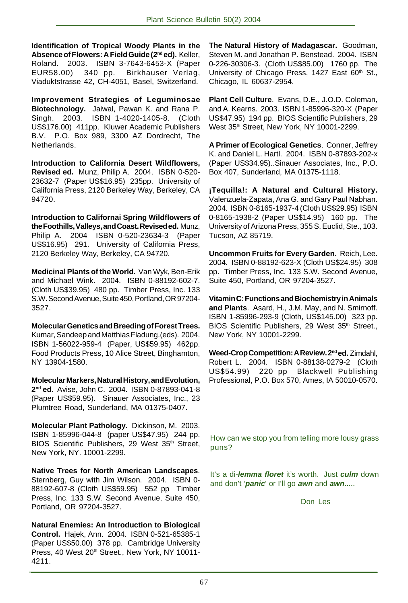**Identification of Tropical Woody Plants in the Absence of Flowers: A Field Guide (2nd ed).** Keller, Roland. 2003. ISBN 3-7643-6453-X (Paper EUR58.00) 340 pp. Birkhauser Verlag, Viaduktstrasse 42, CH-4051, Basel, Switzerland.

**Improvement Strategies of Leguminosae Biotechnology.** Jaiwal, Pawan K. and Rana P. Singh. 2003. ISBN 1-4020-1405-8. (Cloth US\$176.00) 411pp. Kluwer Academic Publishers B.V. P.O. Box 989, 3300 AZ Dordrecht, The Netherlands.

**Introduction to California Desert Wildflowers, Revised ed.** Munz, Philip A. 2004. ISBN 0-520- 23632-7 (Paper US\$16.95) 235pp. University of California Press, 2120 Berkeley Way, Berkeley, CA 94720.

**Introduction to Californai Spring Wildflowers of the Foothills, Valleys, and Coast. Revised ed.** Munz, Philip A. 2004 ISBN 0-520-23634-3 (Paper US\$16.95) 291. University of California Press, 2120 Berkeley Way, Berkeley, CA 94720.

**Medicinal Plants of the World.** Van Wyk, Ben-Erik and Michael Wink. 2004. ISBN 0-88192-602-7. (Cloth US\$39.95) 480 pp. Timber Press, Inc. 133 S.W. Second Avenue, Suite 450, Portland, OR 97204- 3527.

**Molecular Genetics and Breeding of Forest Trees.** Kumar, Sandeep and Matthias Fladung.(eds). 2004. ISBN 1-56022-959-4 (Paper, US\$59.95) 462pp. Food Products Press, 10 Alice Street, Binghamton, NY 13904-1580.

**Molecular Markers, Natural History, and Evolution, 2nd ed.** Avise, John C. 2004. ISBN 0-87893-041-8 (Paper US\$59.95). Sinauer Associates, Inc., 23 Plumtree Road, Sunderland, MA 01375-0407.

**Molecular Plant Pathology.** Dickinson, M. 2003. ISBN 1-85996-044-8 (paper US\$47.95) 244 pp. BIOS Scientific Publishers, 29 West 35<sup>th</sup> Street, New York, NY. 10001-2299.

**Native Trees for North American Landscapes**. Sternberg, Guy with Jim Wilson. 2004. ISBN 0- 88192-607-8 (Cloth US\$59.95) 552 pp Timber Press, Inc. 133 S.W. Second Avenue, Suite 450, Portland, OR 97204-3527.

**Natural Enemies: An Introduction to Biological Control.** Hajek, Ann. 2004. ISBN 0-521-65385-1 (Paper US\$50.00) 378 pp. Cambridge University Press, 40 West 20th Street., New York, NY 10011-4211.

**The Natural History of Madagascar.** Goodman, Steven M. and Jonathan P. Benstead. 2004. ISBN 0-226-30306-3. (Cloth US\$85.00) 1760 pp. The University of Chicago Press, 1427 East 60<sup>th</sup> St., Chicago, IL 60637-2954.

**Plant Cell Culture**. Evans, D.E., J.O.D. Coleman, and A. Kearns. 2003. ISBN 1-85996-320-X (Paper US\$47.95) 194 pp. BIOS Scientific Publishers, 29 West 35th Street, New York, NY 10001-2299.

**A Primer of Ecological Genetics**. Conner, Jeffrey K. and Daniel L. Hartl. 2004. ISBN 0-87893-202-x (Paper US\$34.95)..Sinauer Associates, Inc., P.O. Box 407, Sunderland, MA 01375-1118.

**¡Tequilla!: A Natural and Cultural History.** Valenzuela-Zapata, Ana G. and Gary Paul Nabhan. 2004. ISBN 0-8165-1937-4 (Cloth US\$29.95) ISBN 0-8165-1938-2 (Paper US\$14.95) 160 pp. The University of Arizona Press, 355 S. Euclid, Ste., 103. Tucson, AZ 85719.

**Uncommon Fruits for Every Garden.** Reich, Lee. 2004. ISBN 0-88192-623-X (Cloth US\$24.95) 308 pp. Timber Press, Inc. 133 S.W. Second Avenue, Suite 450, Portland, OR 97204-3527.

**Vitamin C: Functions and Biochemistry in Animals and Plants**. Asard, H., J.M. May, and N. Smirnoff. ISBN 1-85996-293-9 (Cloth, US\$145.00) 323 pp. BIOS Scientific Publishers, 29 West 35<sup>th</sup> Street., New York, NY 10001-2299.

**Weed-Crop Competition: A Review. 2nd ed.** Zimdahl, Robert L. 2004. ISBN 0-88138-0279-2 (Cloth US\$54.99) 220 pp Blackwell Publishing Professional, P.O. Box 570, Ames, IA 50010-0570.

How can we stop you from telling more lousy grass puns?

It's a di-**lemma floret** it's worth. Just **culm** down and don't '**panic**' or I'll go **awn** and **awn**.....

Don Les